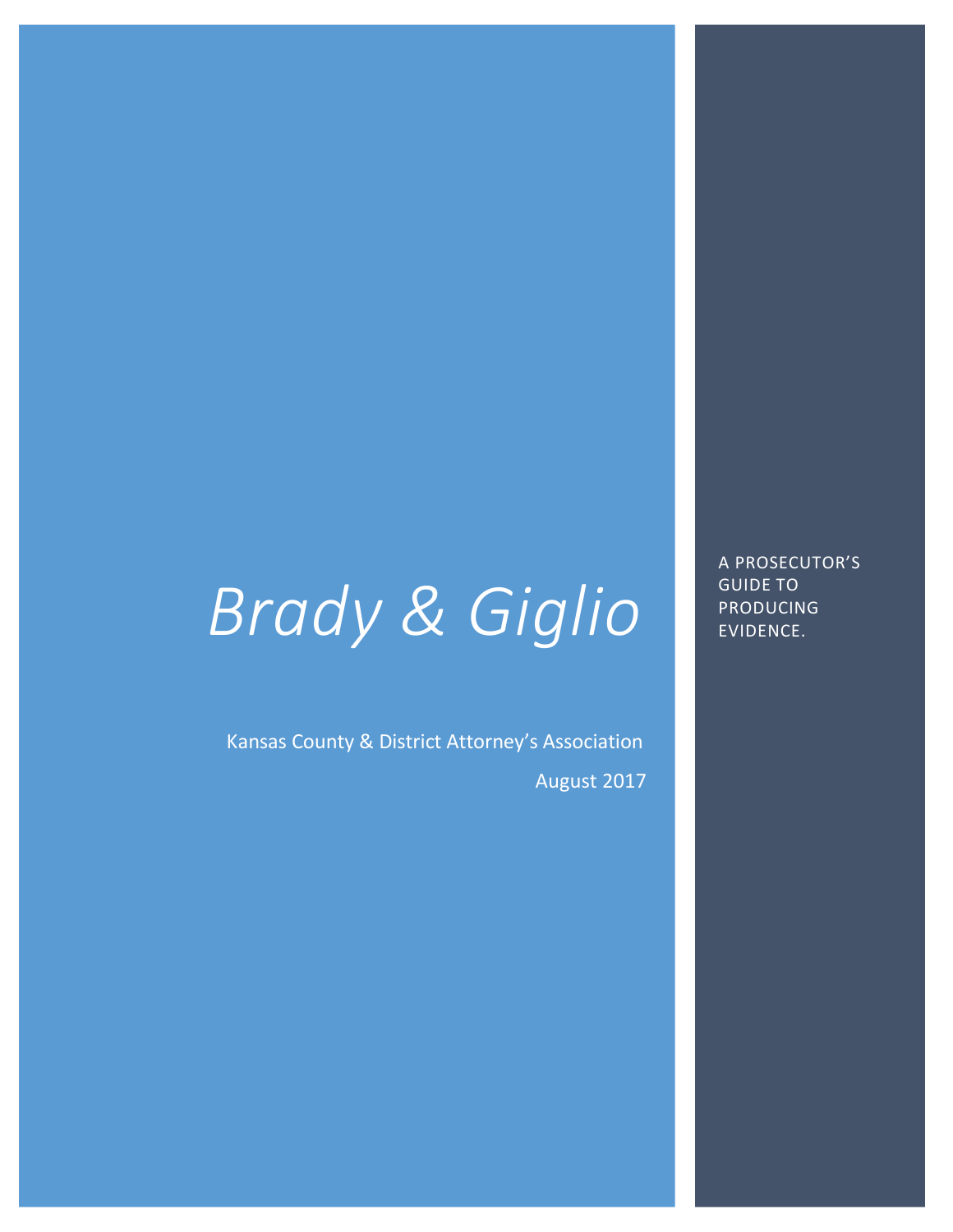# *Brady & Giglio*

Kansas County & District Attorney's Association August 2017 A PROSECUTOR'S GUIDE TO PRODUCING EVIDENCE.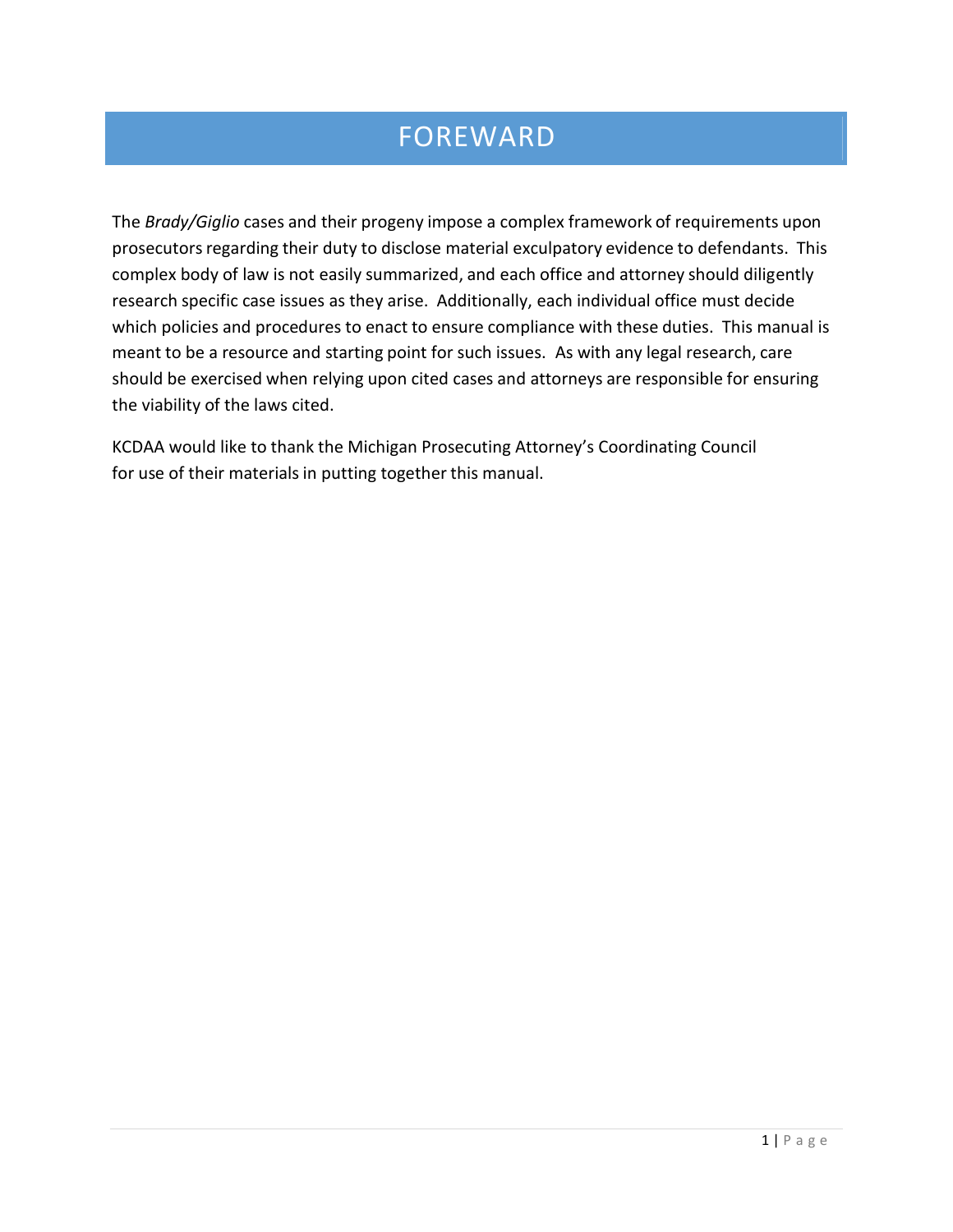# FOREWARD

The *Brady/Giglio* cases and their progeny impose a complex framework of requirements upon prosecutors regarding their duty to disclose material exculpatory evidence to defendants. This complex body of law is not easily summarized, and each office and attorney should diligently research specific case issues as they arise. Additionally, each individual office must decide which policies and procedures to enact to ensure compliance with these duties. This manual is meant to be a resource and starting point for such issues. As with any legal research, care should be exercised when relying upon cited cases and attorneys are responsible for ensuring the viability of the laws cited.

KCDAA would like to thank the Michigan Prosecuting Attorney's Coordinating Council for use of their materials in putting together this manual.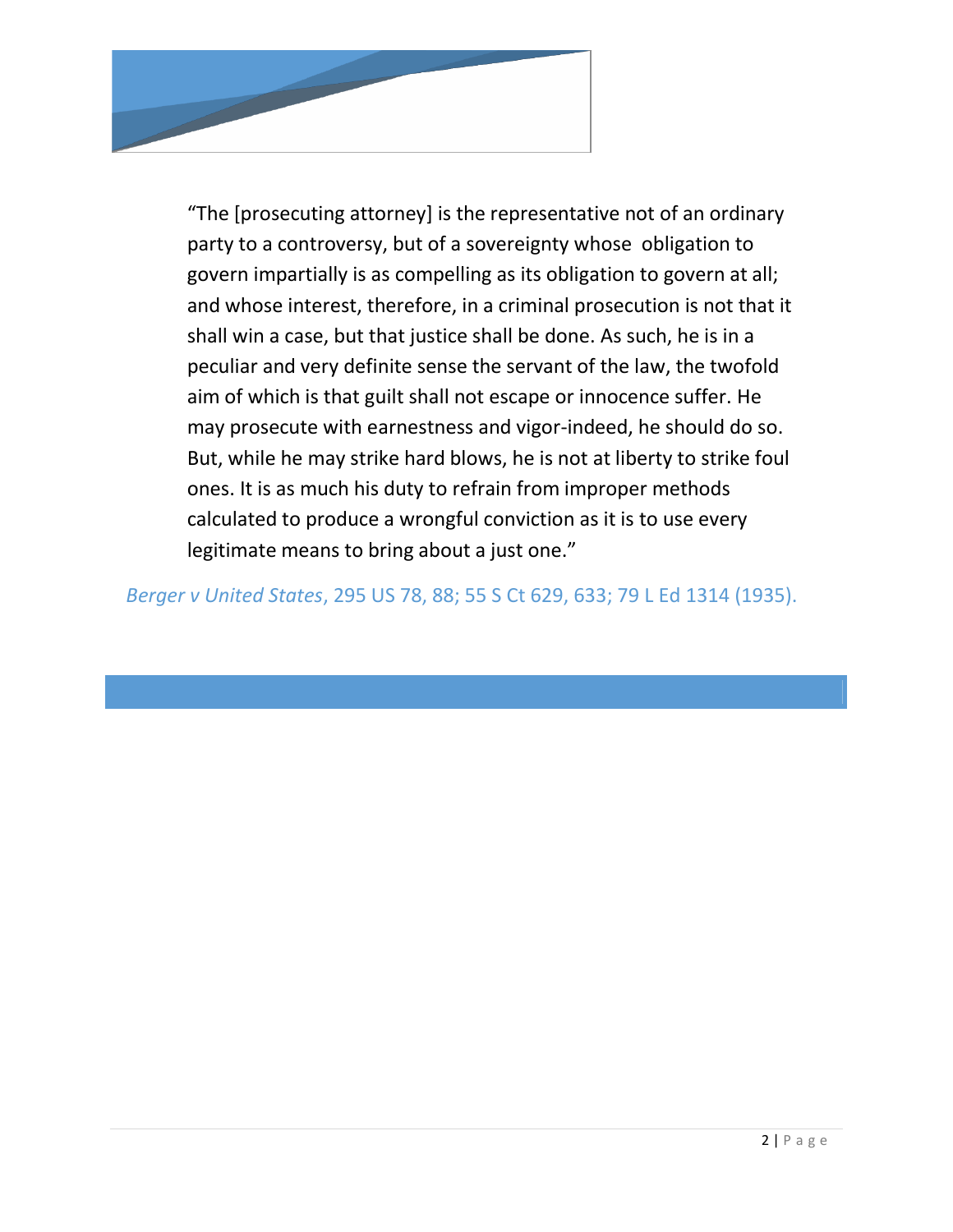

"The [prosecuting attorney] is the representative not of an ordinary party to a controversy, but of a sovereignty whose obligation to govern impartially is as compelling as its obligation to govern at all; and whose interest, therefore, in a criminal prosecution is not that it shall win a case, but that justice shall be done. As such, he is in a peculiar and very definite sense the servant of the law, the twofold aim of which is that guilt shall not escape or innocence suffer. He may prosecute with earnestness and vigor-indeed, he should do so. But, while he may strike hard blows, he is not at liberty to strike foul ones. It is as much his duty to refrain from improper methods calculated to produce a wrongful conviction as it is to use every legitimate means to bring about a just one."

 *Berger v United States*, 295 US 78, 88; 55 S Ct 629, 633; 79 L Ed 1314 (1935).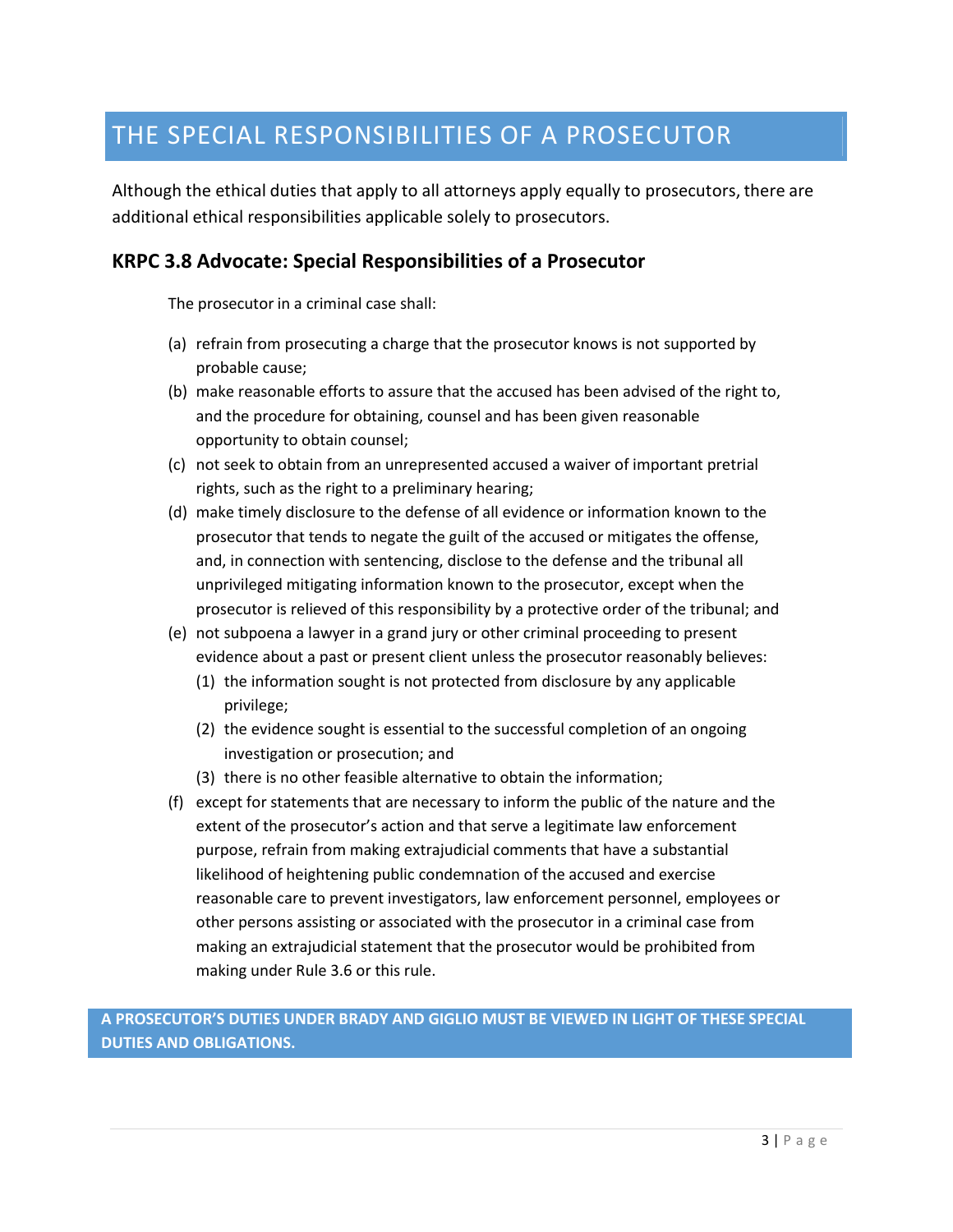# THE SPECIAL RESPONSIBILITIES OF A PROSECUTOR

Although the ethical duties that apply to all attorneys apply equally to prosecutors, there are additional ethical responsibilities applicable solely to prosecutors.

#### **KRPC 3.8 Advocate: Special Responsibilities of a Prosecutor**

The prosecutor in a criminal case shall:

- (a) refrain from prosecuting a charge that the prosecutor knows is not supported by probable cause;
- (b) make reasonable efforts to assure that the accused has been advised of the right to, and the procedure for obtaining, counsel and has been given reasonable opportunity to obtain counsel;
- (c) not seek to obtain from an unrepresented accused a waiver of important pretrial rights, such as the right to a preliminary hearing;
- (d) make timely disclosure to the defense of all evidence or information known to the prosecutor that tends to negate the guilt of the accused or mitigates the offense, and, in connection with sentencing, disclose to the defense and the tribunal all unprivileged mitigating information known to the prosecutor, except when the prosecutor is relieved of this responsibility by a protective order of the tribunal; and
- (e) not subpoena a lawyer in a grand jury or other criminal proceeding to present evidence about a past or present client unless the prosecutor reasonably believes:
	- (1) the information sought is not protected from disclosure by any applicable privilege;
	- (2) the evidence sought is essential to the successful completion of an ongoing investigation or prosecution; and
	- (3) there is no other feasible alternative to obtain the information;
- (f) except for statements that are necessary to inform the public of the nature and the extent of the prosecutor's action and that serve a legitimate law enforcement purpose, refrain from making extrajudicial comments that have a substantial likelihood of heightening public condemnation of the accused and exercise reasonable care to prevent investigators, law enforcement personnel, employees or other persons assisting or associated with the prosecutor in a criminal case from making an extrajudicial statement that the prosecutor would be prohibited from making under Rule 3.6 or this rule.

### **A PROSECUTOR'S DUTIES UNDER BRADY AND GIGLIO MUST BE VIEWED IN LIGHT OF THESE SPECIAL DUTIES AND OBLIGATIONS.**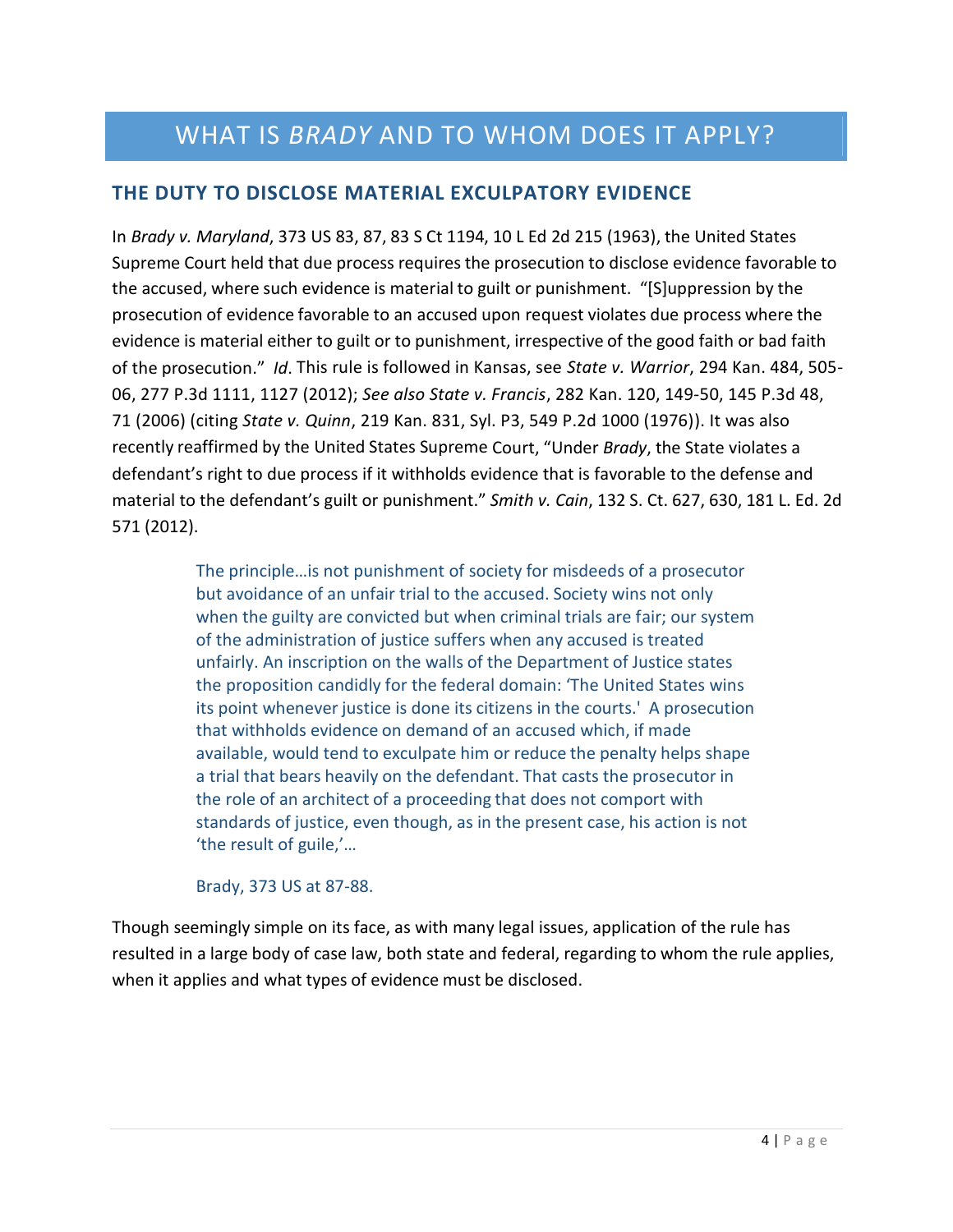# WHAT IS *BRADY* AND TO WHOM DOES IT APPLY?

# **THE DUTY TO DISCLOSE MATERIAL EXCULPATORY EVIDENCE**

In *Brady v. Maryland*, 373 US 83, 87, 83 S Ct 1194, 10 L Ed 2d 215 (1963), the United States Supreme Court held that due process requires the prosecution to disclose evidence favorable to the accused, where such evidence is material to guilt or punishment. "[S]uppression by the prosecution of evidence favorable to an accused upon request violates due process where the evidence is material either to guilt or to punishment, irrespective of the good faith or bad faith of the prosecution." *Id*. This rule is followed in Kansas, see *State v. Warrior*, 294 Kan. 484, 505- 06, 277 P.3d 1111, 1127 (2012); *See also State v. Francis*, 282 Kan. 120, 149-50, 145 P.3d 48, 71 (2006) (citing *State v. Quinn*, 219 Kan. 831, Syl. P3, 549 P.2d 1000 (1976)). It was also recently reaffirmed by the United States Supreme Court, "Under *Brady*, the State violates a defendant's right to due process if it withholds evidence that is favorable to the defense and material to the defendant's guilt or punishment." *Smith v. Cain*, 132 S. Ct. 627, 630, 181 L. Ed. 2d 571 (2012).

> The principle…is not punishment of society for misdeeds of a prosecutor but avoidance of an unfair trial to the accused. Society wins not only when the guilty are convicted but when criminal trials are fair; our system of the administration of justice suffers when any accused is treated unfairly. An inscription on the walls of the Department of Justice states the proposition candidly for the federal domain: 'The United States wins its point whenever justice is done its citizens in the courts.' A prosecution that withholds evidence on demand of an accused which, if made available, would tend to exculpate him or reduce the penalty helps shape a trial that bears heavily on the defendant. That casts the prosecutor in the role of an architect of a proceeding that does not comport with standards of justice, even though, as in the present case, his action is not 'the result of guile,'…

Brady, 373 US at 87-88.

Though seemingly simple on its face, as with many legal issues, application of the rule has resulted in a large body of case law, both state and federal, regarding to whom the rule applies, when it applies and what types of evidence must be disclosed.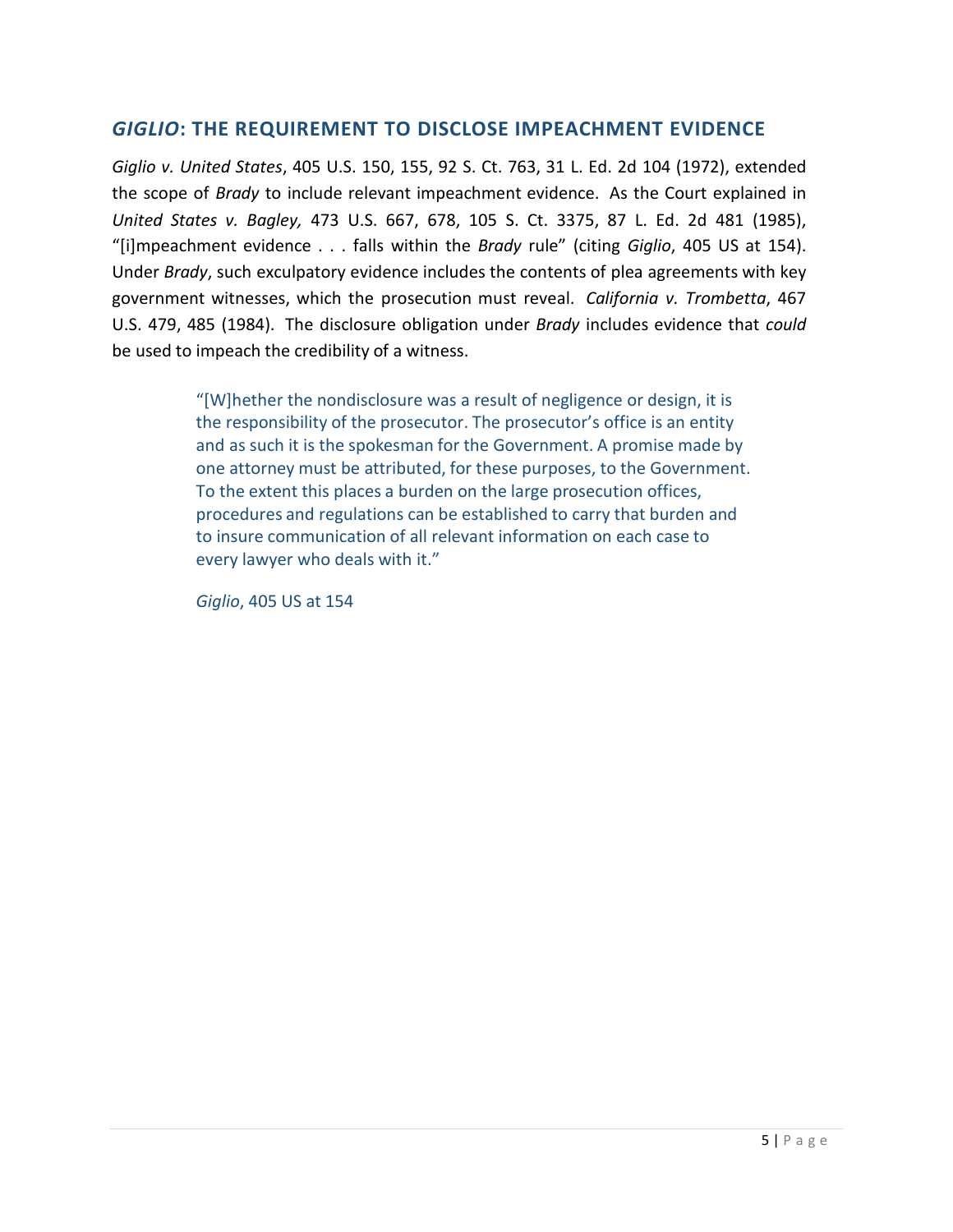# *GIGLIO***: THE REQUIREMENT TO DISCLOSE IMPEACHMENT EVIDENCE**

*Giglio v. United States*, 405 U.S. 150, 155, 92 S. Ct. 763, 31 L. Ed. 2d 104 (1972), extended the scope of *Brady* to include relevant impeachment evidence. As the Court explained in *United States v. Bagley,* 473 U.S. 667, 678, 105 S. Ct. 3375, 87 L. Ed. 2d 481 (1985), "[i]mpeachment evidence . . . falls within the *Brady* rule" (citing *Giglio*, 405 US at 154). Under *Brady*, such exculpatory evidence includes the contents of plea agreements with key government witnesses, which the prosecution must reveal. *California v. Trombetta*, 467 U.S. 479, 485 (1984). The disclosure obligation under *Brady* includes evidence that *could*  be used to impeach the credibility of a witness.

> "[W]hether the nondisclosure was a result of negligence or design, it is the responsibility of the prosecutor. The prosecutor's office is an entity and as such it is the spokesman for the Government. A promise made by one attorney must be attributed, for these purposes, to the Government. To the extent this places a burden on the large prosecution offices, procedures and regulations can be established to carry that burden and to insure communication of all relevant information on each case to every lawyer who deals with it."

*Giglio*, 405 US at 154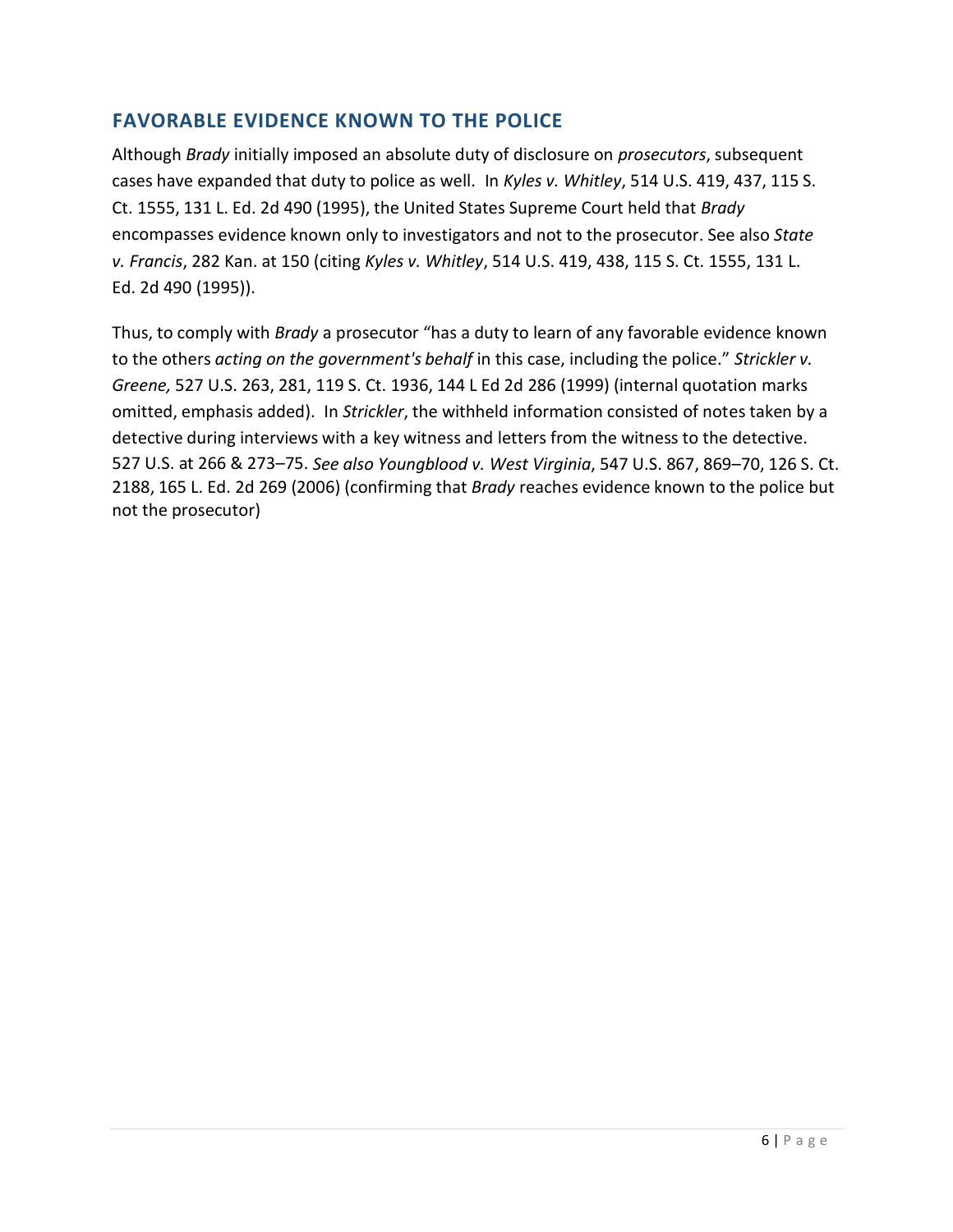# **FAVORABLE EVIDENCE KNOWN TO THE POLICE**

Although *Brady* initially imposed an absolute duty of disclosure on *prosecutors*, subsequent cases have expanded that duty to police as well. In *Kyles v. Whitley*, 514 U.S. 419, 437, 115 S. Ct. 1555, 131 L. Ed. 2d 490 (1995), the United States Supreme Court held that *Brady* encompasses evidence known only to investigators and not to the prosecutor. See also *State v. Francis*, 282 Kan. at 150 (citing *Kyles v. Whitley*, 514 U.S. 419, 438, 115 S. Ct. 1555, 131 L. Ed. 2d 490 (1995)).

Thus, to comply with *Brady* a prosecutor "has a duty to learn of any favorable evidence known to the others *acting on the government's behalf* in this case, including the police." *Strickler v. Greene,* 527 U.S. 263, 281, 119 S. Ct. 1936, 144 L Ed 2d 286 (1999) (internal quotation marks omitted, emphasis added). In *Strickler*, the withheld information consisted of notes taken by a detective during interviews with a key witness and letters from the witness to the detective. 527 U.S. at 266 & 273–75. *See also Youngblood v. West Virginia*, 547 U.S. 867, 869–70, 126 S. Ct. 2188, 165 L. Ed. 2d 269 (2006) (confirming that *Brady* reaches evidence known to the police but not the prosecutor)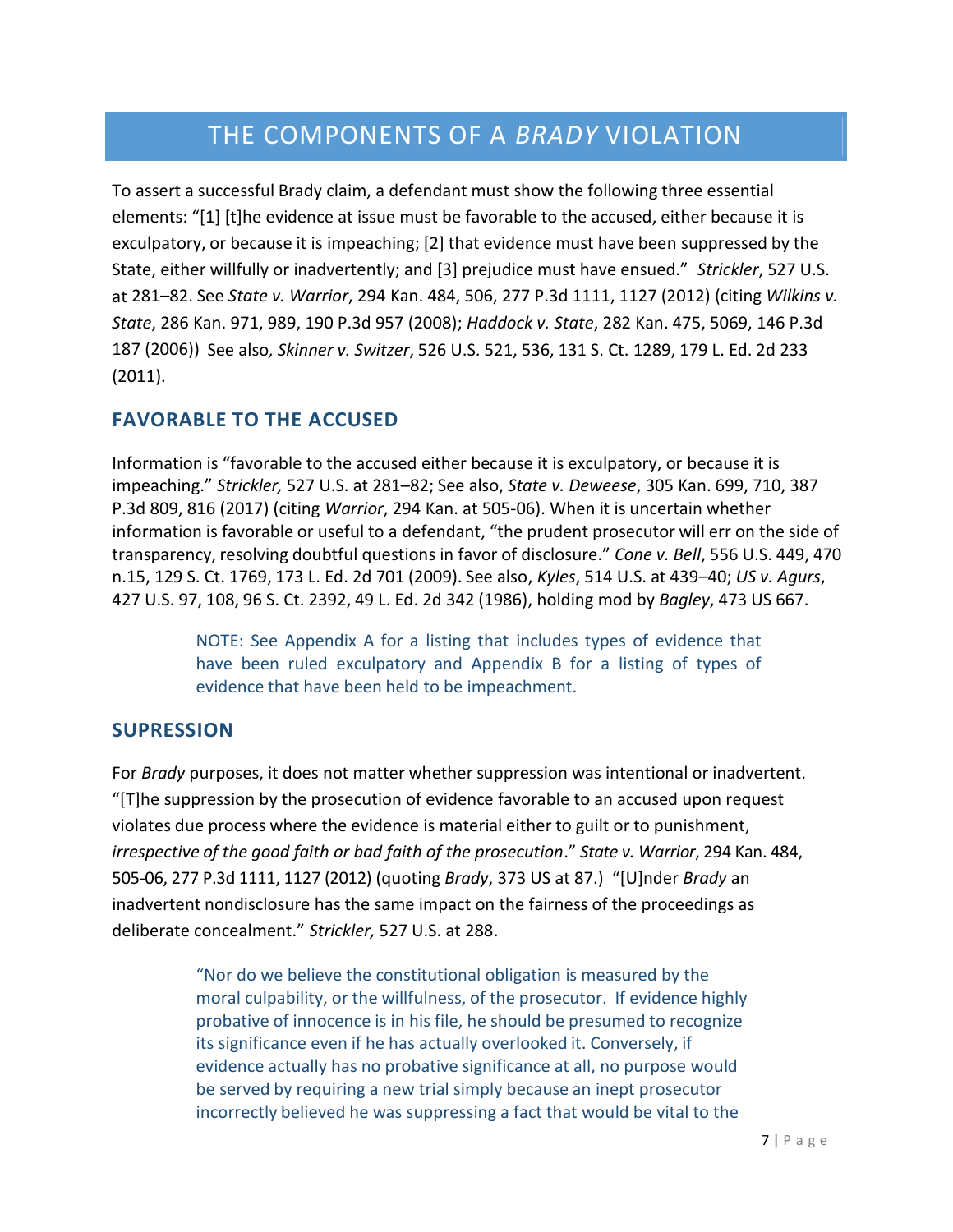# THE COMPONENTS OF A *BRADY* VIOLATION

To assert a successful Brady claim, a defendant must show the following three essential elements: "[1] [t]he evidence at issue must be favorable to the accused, either because it is exculpatory, or because it is impeaching; [2] that evidence must have been suppressed by the State, either willfully or inadvertently; and [3] prejudice must have ensued." *Strickler*, 527 U.S. at 281–82. See *State v. Warrior*, 294 Kan. 484, 506, 277 P.3d 1111, 1127 (2012) (citing *Wilkins v. State*, 286 Kan. 971, 989, 190 P.3d 957 (2008); *Haddock v. State*, 282 Kan. 475, 5069, 146 P.3d 187 (2006)) See also*, Skinner v. Switzer*, 526 U.S. 521, 536, 131 S. Ct. 1289, 179 L. Ed. 2d 233 (2011).

# **FAVORABLE TO THE ACCUSED**

Information is "favorable to the accused either because it is exculpatory, or because it is impeaching." *Strickler,* 527 U.S. at 281–82; See also, *State v. Deweese*, 305 Kan. 699, 710, 387 P.3d 809, 816 (2017) (citing *Warrior*, 294 Kan. at 505-06). When it is uncertain whether information is favorable or useful to a defendant, "the prudent prosecutor will err on the side of transparency, resolving doubtful questions in favor of disclosure." *Cone v. Bell*, 556 U.S. 449, 470 n.15, 129 S. Ct. 1769, 173 L. Ed. 2d 701 (2009). See also, *Kyles*, 514 U.S. at 439–40; *US v. Agurs*, 427 U.S. 97, 108, 96 S. Ct. 2392, 49 L. Ed. 2d 342 (1986), holding mod by *Bagley*, 473 US 667.

> NOTE: See Appendix A for a listing that includes types of evidence that have been ruled exculpatory and Appendix B for a listing of types of evidence that have been held to be impeachment.

# **SUPRESSION**

For *Brady* purposes, it does not matter whether suppression was intentional or inadvertent. "[T]he suppression by the prosecution of evidence favorable to an accused upon request violates due process where the evidence is material either to guilt or to punishment, *irrespective of the good faith or bad faith of the prosecution*." *State v. Warrior*, 294 Kan. 484, 505-06, 277 P.3d 1111, 1127 (2012) (quoting *Brady*, 373 US at 87.) "[U]nder *Brady* an inadvertent nondisclosure has the same impact on the fairness of the proceedings as deliberate concealment." *Strickler,* 527 U.S. at 288.

> "Nor do we believe the constitutional obligation is measured by the moral culpability, or the willfulness, of the prosecutor. If evidence highly probative of innocence is in his file, he should be presumed to recognize its significance even if he has actually overlooked it. Conversely, if evidence actually has no probative significance at all, no purpose would be served by requiring a new trial simply because an inept prosecutor incorrectly believed he was suppressing a fact that would be vital to the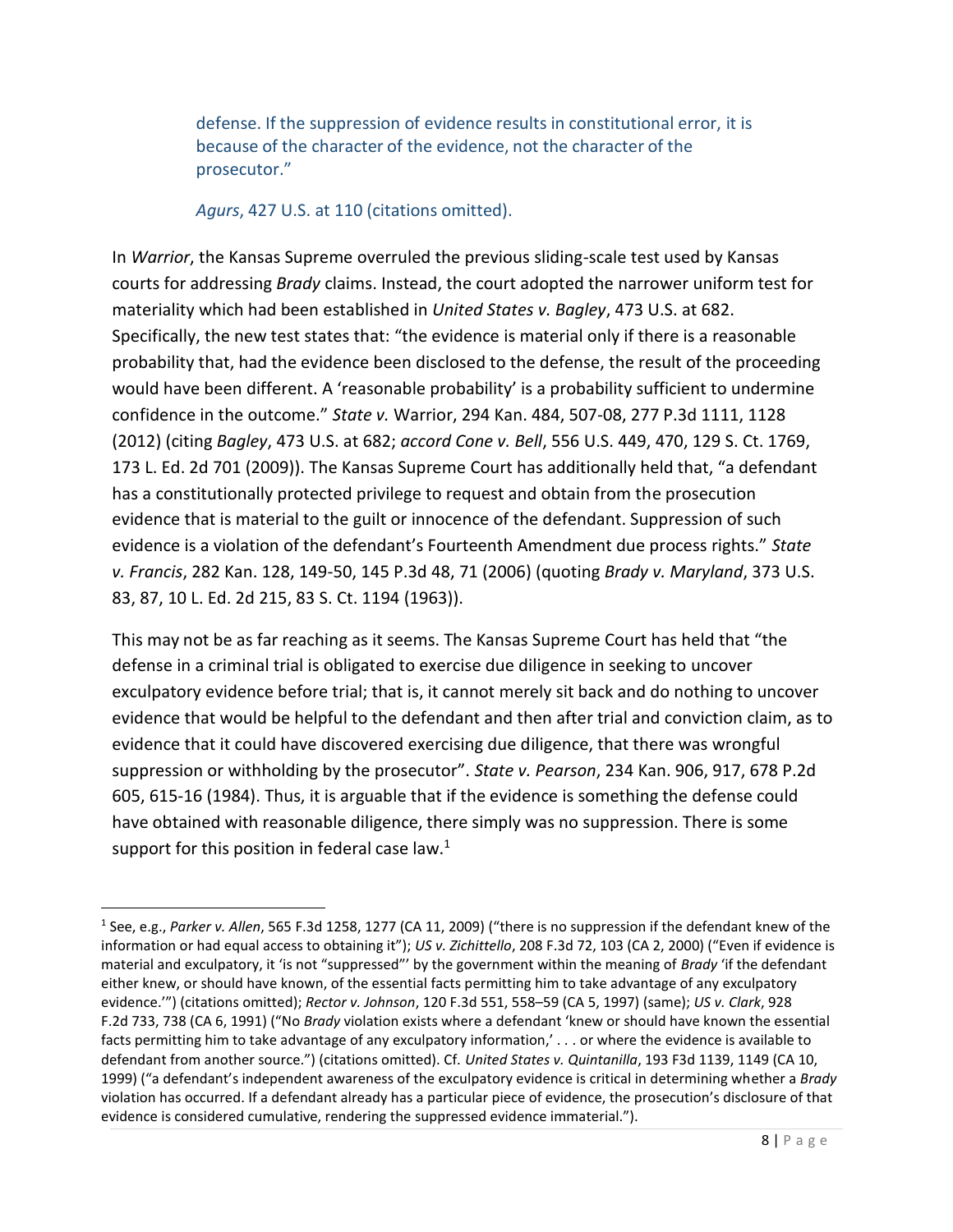defense. If the suppression of evidence results in constitutional error, it is because of the character of the evidence, not the character of the prosecutor."

#### *Agurs*, 427 U.S. at 110 (citations omitted).

In *Warrior*, the Kansas Supreme overruled the previous sliding-scale test used by Kansas courts for addressing *Brady* claims. Instead, the court adopted the narrower uniform test for materiality which had been established in *United States v. Bagley*, 473 U.S. at 682. Specifically, the new test states that: "the evidence is material only if there is a reasonable probability that, had the evidence been disclosed to the defense, the result of the proceeding would have been different. A 'reasonable probability' is a probability sufficient to undermine confidence in the outcome." *State v.* Warrior, 294 Kan. 484, 507-08, 277 P.3d 1111, 1128 (2012) (citing *Bagley*, 473 U.S. at 682; *accord Cone v. Bell*, 556 U.S. 449, 470, 129 S. Ct. 1769, 173 L. Ed. 2d 701 (2009)). The Kansas Supreme Court has additionally held that, "a defendant has a constitutionally protected privilege to request and obtain from the prosecution evidence that is material to the guilt or innocence of the defendant. Suppression of such evidence is a violation of the defendant's Fourteenth Amendment due process rights." *State v. Francis*, 282 Kan. 128, 149-50, 145 P.3d 48, 71 (2006) (quoting *Brady v. Maryland*, 373 U.S. 83, 87, 10 L. Ed. 2d 215, 83 S. Ct. 1194 (1963)).

This may not be as far reaching as it seems. The Kansas Supreme Court has held that "the defense in a criminal trial is obligated to exercise due diligence in seeking to uncover exculpatory evidence before trial; that is, it cannot merely sit back and do nothing to uncover evidence that would be helpful to the defendant and then after trial and conviction claim, as to evidence that it could have discovered exercising due diligence, that there was wrongful suppression or withholding by the prosecutor". *State v. Pearson*, 234 Kan. 906, 917, 678 P.2d 605, 615-16 (1984). Thus, it is arguable that if the evidence is something the defense could have obtained with reasonable diligence, there simply was no suppression. There is some support for this position in federal case law.<sup>1</sup>

 $\overline{a}$ 

<sup>1</sup> See, e.g., *Parker v. Allen*, 565 F.3d 1258, 1277 (CA 11, 2009) ("there is no suppression if the defendant knew of the information or had equal access to obtaining it"); *US v. Zichittello*, 208 F.3d 72, 103 (CA 2, 2000) ("Even if evidence is material and exculpatory, it 'is not "suppressed"' by the government within the meaning of *Brady* 'if the defendant either knew, or should have known, of the essential facts permitting him to take advantage of any exculpatory evidence.'") (citations omitted); *Rector v. Johnson*, 120 F.3d 551, 558–59 (CA 5, 1997) (same); *US v. Clark*, 928 F.2d 733, 738 (CA 6, 1991) ("No *Brady* violation exists where a defendant 'knew or should have known the essential facts permitting him to take advantage of any exculpatory information,' . . . or where the evidence is available to defendant from another source.") (citations omitted). Cf. *United States v. Quintanilla*, 193 F3d 1139, 1149 (CA 10, 1999) ("a defendant's independent awareness of the exculpatory evidence is critical in determining whether a *Brady*  violation has occurred. If a defendant already has a particular piece of evidence, the prosecution's disclosure of that evidence is considered cumulative, rendering the suppressed evidence immaterial.").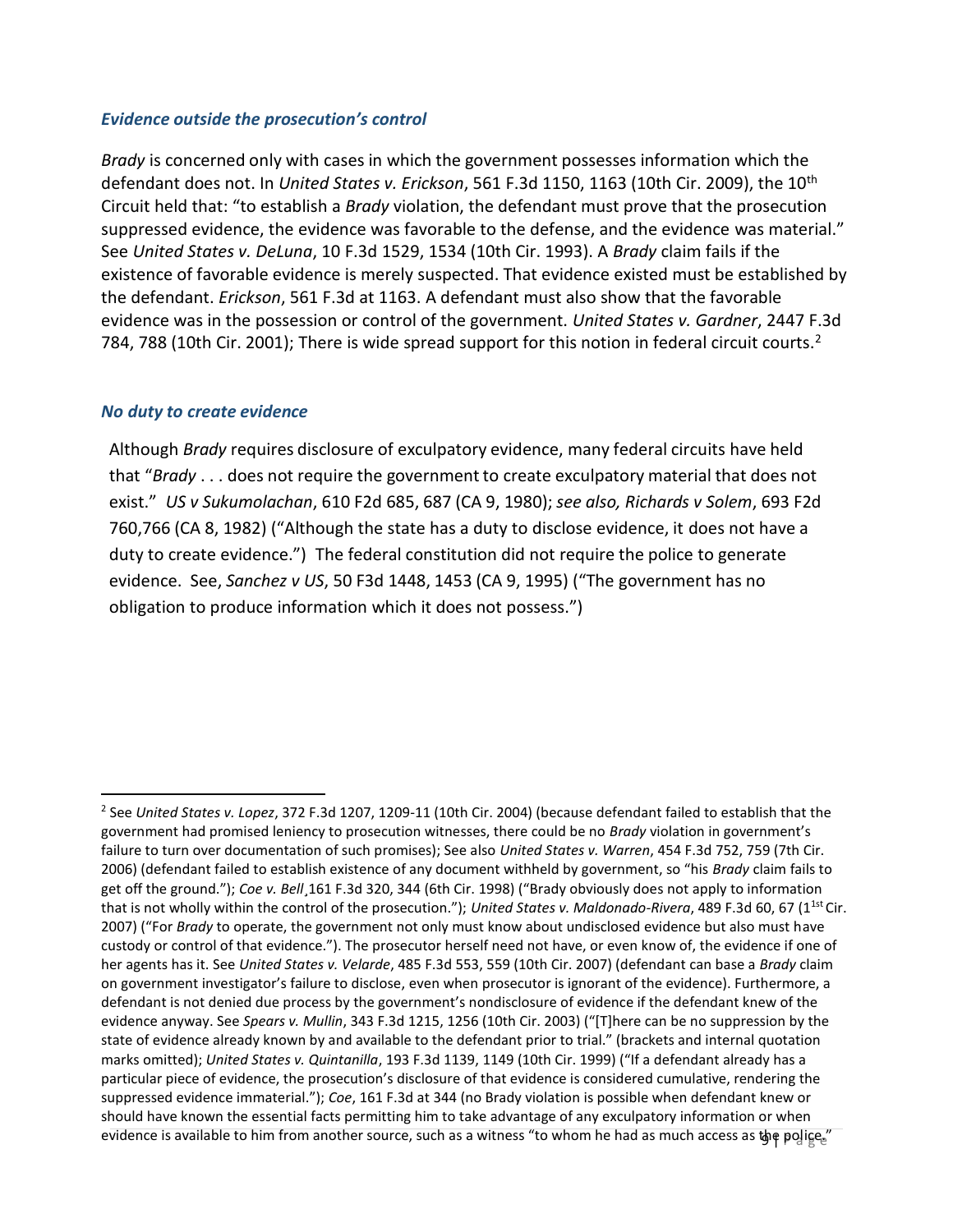#### *Evidence outside the prosecution's control*

*Brady* is concerned only with cases in which the government possesses information which the defendant does not. In *United States v. Erickson*, 561 F.3d 1150, 1163 (10th Cir. 2009), the 10th Circuit held that: "to establish a *Brady* violation, the defendant must prove that the prosecution suppressed evidence, the evidence was favorable to the defense, and the evidence was material." See *United States v. DeLuna*, 10 F.3d 1529, 1534 (10th Cir. 1993). A *Brady* claim fails if the existence of favorable evidence is merely suspected. That evidence existed must be established by the defendant. *Erickson*, 561 F.3d at 1163. A defendant must also show that the favorable evidence was in the possession or control of the government. *United States v. Gardner*, 2447 F.3d 784, 788 (10th Cir. 2001); There is wide spread support for this notion in federal circuit courts.<sup>2</sup>

#### *No duty to create evidence*

 $\overline{a}$ 

Although *Brady* requires disclosure of exculpatory evidence, many federal circuits have held that "*Brady* . . . does not require the government to create exculpatory material that does not exist." *US v Sukumolachan*, 610 F2d 685, 687 (CA 9, 1980); *see also, Richards v Solem*, 693 F2d 760,766 (CA 8, 1982) ("Although the state has a duty to disclose evidence, it does not have a duty to create evidence.") The federal constitution did not require the police to generate evidence. See, *Sanchez v US*, 50 F3d 1448, 1453 (CA 9, 1995) ("The government has no obligation to produce information which it does not possess.")

evidence is available to him from another source, such as a witness "to whom he had as much access as the polige." 2 See *United States v. Lopez*, 372 F.3d 1207, 1209-11 (10th Cir. 2004) (because defendant failed to establish that the government had promised leniency to prosecution witnesses, there could be no *Brady* violation in government's failure to turn over documentation of such promises); See also *United States v. Warren*, 454 F.3d 752, 759 (7th Cir. 2006) (defendant failed to establish existence of any document withheld by government, so "his *Brady* claim fails to get off the ground."); *Coe v. Bell*¸161 F.3d 320, 344 (6th Cir. 1998) ("Brady obviously does not apply to information that is not wholly within the control of the prosecution."); *United States v. Maldonado-Rivera*, 489 F.3d 60, 67 (1<sup>1st</sup> Cir. 2007) ("For *Brady* to operate, the government not only must know about undisclosed evidence but also must have custody or control of that evidence."). The prosecutor herself need not have, or even know of, the evidence if one of her agents has it. See *United States v. Velarde*, 485 F.3d 553, 559 (10th Cir. 2007) (defendant can base a *Brady* claim on government investigator's failure to disclose, even when prosecutor is ignorant of the evidence). Furthermore, a defendant is not denied due process by the government's nondisclosure of evidence if the defendant knew of the evidence anyway. See *Spears v. Mullin*, 343 F.3d 1215, 1256 (10th Cir. 2003) ("[T]here can be no suppression by the state of evidence already known by and available to the defendant prior to trial." (brackets and internal quotation marks omitted); *United States v. Quintanilla*, 193 F.3d 1139, 1149 (10th Cir. 1999) ("If a defendant already has a particular piece of evidence, the prosecution's disclosure of that evidence is considered cumulative, rendering the suppressed evidence immaterial."); *Coe*, 161 F.3d at 344 (no Brady violation is possible when defendant knew or should have known the essential facts permitting him to take advantage of any exculpatory information or when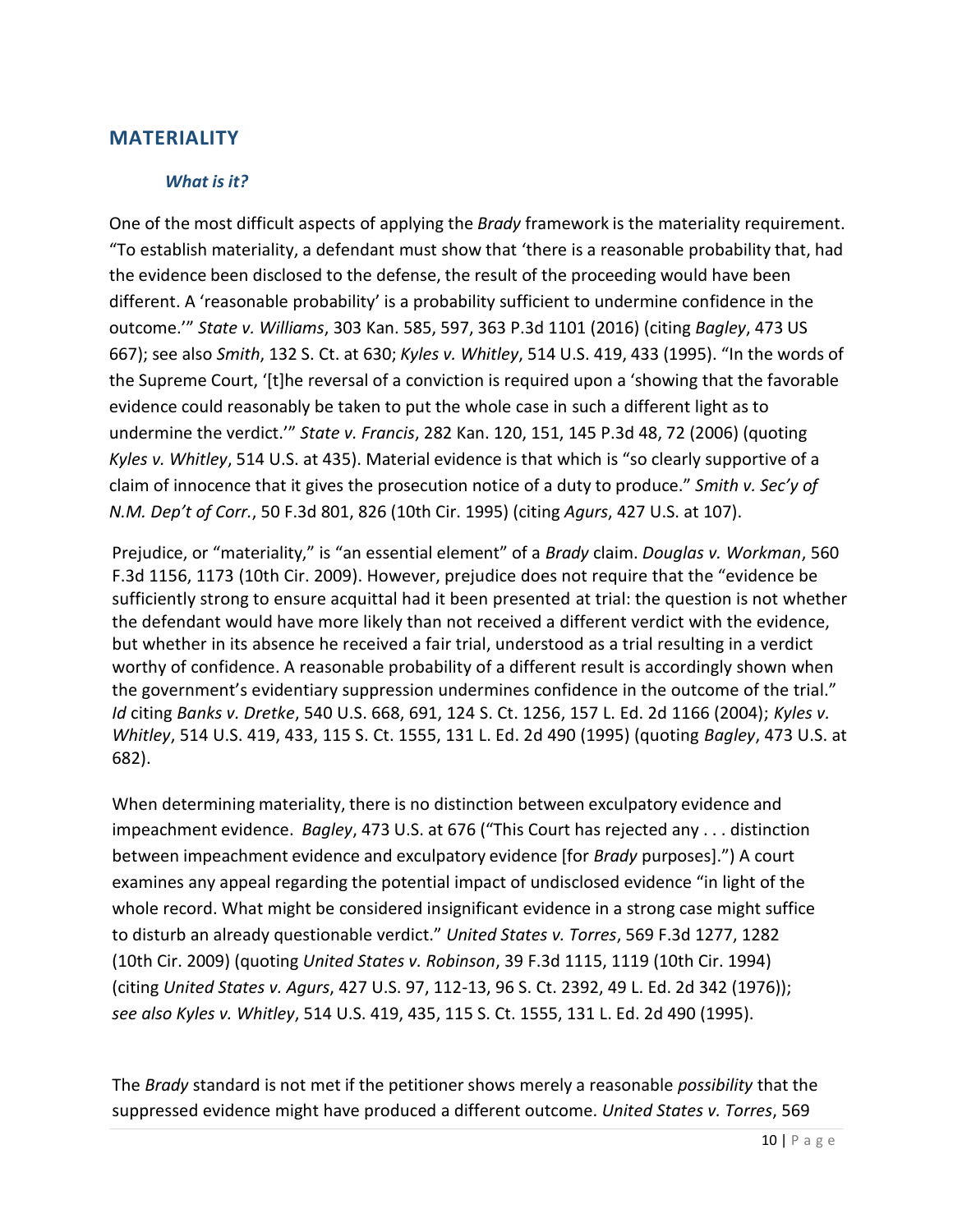#### **MATERIALITY**

#### *What is it?*

One of the most difficult aspects of applying the *Brady* framework is the materiality requirement. "To establish materiality, a defendant must show that 'there is a reasonable probability that, had the evidence been disclosed to the defense, the result of the proceeding would have been different. A 'reasonable probability' is a probability sufficient to undermine confidence in the outcome.'" *State v. Williams*, 303 Kan. 585, 597, 363 P.3d 1101 (2016) (citing *Bagley*, 473 US 667); see also *Smith*, 132 S. Ct. at 630; *Kyles v. Whitley*, 514 U.S. 419, 433 (1995). "In the words of the Supreme Court, '[t]he reversal of a conviction is required upon a 'showing that the favorable evidence could reasonably be taken to put the whole case in such a different light as to undermine the verdict.'" *State v. Francis*, 282 Kan. 120, 151, 145 P.3d 48, 72 (2006) (quoting *Kyles v. Whitley*, 514 U.S. at 435). Material evidence is that which is "so clearly supportive of a claim of innocence that it gives the prosecution notice of a duty to produce." *Smith v. Sec'y of N.M. Dep't of Corr.*, 50 F.3d 801, 826 (10th Cir. 1995) (citing *Agurs*, 427 U.S. at 107).

Prejudice, or "materiality," is "an essential element" of a *Brady* claim. *Douglas v. Workman*, 560 F.3d 1156, 1173 (10th Cir. 2009). However, prejudice does not require that the "evidence be sufficiently strong to ensure acquittal had it been presented at trial: the question is not whether the defendant would have more likely than not received a different verdict with the evidence, but whether in its absence he received a fair trial, understood as a trial resulting in a verdict worthy of confidence. A reasonable probability of a different result is accordingly shown when the government's evidentiary suppression undermines confidence in the outcome of the trial." *Id* citing *Banks v. Dretke*, 540 U.S. 668, 691, 124 S. Ct. 1256, 157 L. Ed. 2d 1166 (2004); *Kyles v. Whitley*, 514 U.S. 419, 433, 115 S. Ct. 1555, 131 L. Ed. 2d 490 (1995) (quoting *Bagley*, 473 U.S. at 682).

When determining materiality, there is no distinction between exculpatory evidence and impeachment evidence. *Bagley*, 473 U.S. at 676 ("This Court has rejected any . . . distinction between impeachment evidence and exculpatory evidence [for *Brady* purposes].") A court examines any appeal regarding the potential impact of undisclosed evidence "in light of the whole record. What might be considered insignificant evidence in a strong case might suffice to disturb an already questionable verdict." *United States v. Torres*, 569 F.3d 1277, 1282 (10th Cir. 2009) (quoting *United States v. Robinson*, 39 F.3d 1115, 1119 (10th Cir. 1994) (citing *United States v. Agurs*, 427 U.S. 97, 112-13, 96 S. Ct. 2392, 49 L. Ed. 2d 342 (1976)); *see also Kyles v. Whitley*, 514 U.S. 419, 435, 115 S. Ct. 1555, 131 L. Ed. 2d 490 (1995).

The *Brady* standard is not met if the petitioner shows merely a reasonable *possibility* that the suppressed evidence might have produced a different outcome. *United States v. Torres*, 569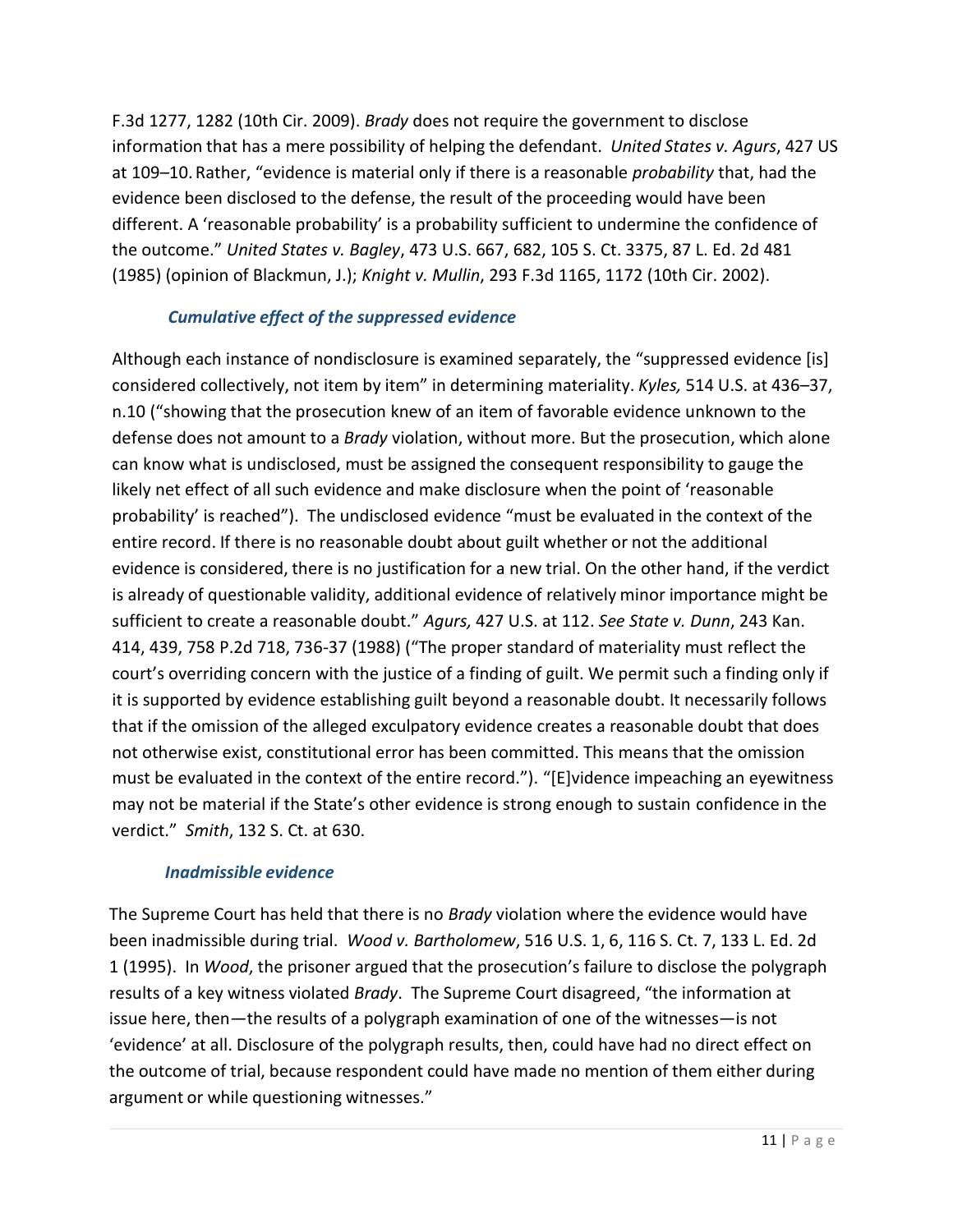F.3d 1277, 1282 (10th Cir. 2009). *Brady* does not require the government to disclose information that has a mere possibility of helping the defendant. *United States v. Agurs*, 427 US at 109–10. Rather, "evidence is material only if there is a reasonable *probability* that, had the evidence been disclosed to the defense, the result of the proceeding would have been different. A 'reasonable probability' is a probability sufficient to undermine the confidence of the outcome." *United States v. Bagley*, 473 U.S. 667, 682, 105 S. Ct. 3375, 87 L. Ed. 2d 481 (1985) (opinion of Blackmun, J.); *Knight v. Mullin*, 293 F.3d 1165, 1172 (10th Cir. 2002).

## *Cumulative effect of the suppressed evidence*

Although each instance of nondisclosure is examined separately, the "suppressed evidence [is] considered collectively, not item by item" in determining materiality. *Kyles,* 514 U.S. at 436–37, n.10 ("showing that the prosecution knew of an item of favorable evidence unknown to the defense does not amount to a *Brady* violation, without more. But the prosecution, which alone can know what is undisclosed, must be assigned the consequent responsibility to gauge the likely net effect of all such evidence and make disclosure when the point of 'reasonable probability' is reached"). The undisclosed evidence "must be evaluated in the context of the entire record. If there is no reasonable doubt about guilt whether or not the additional evidence is considered, there is no justification for a new trial. On the other hand, if the verdict is already of questionable validity, additional evidence of relatively minor importance might be sufficient to create a reasonable doubt." *Agurs,* 427 U.S. at 112. *See State v. Dunn*, 243 Kan. 414, 439, 758 P.2d 718, 736-37 (1988) ("The proper standard of materiality must reflect the court's overriding concern with the justice of a finding of guilt. We permit such a finding only if it is supported by evidence establishing guilt beyond a reasonable doubt. It necessarily follows that if the omission of the alleged exculpatory evidence creates a reasonable doubt that does not otherwise exist, constitutional error has been committed. This means that the omission must be evaluated in the context of the entire record."). "[E]vidence impeaching an eyewitness may not be material if the State's other evidence is strong enough to sustain confidence in the verdict." *Smith*, 132 S. Ct. at 630.

#### *Inadmissible evidence*

The Supreme Court has held that there is no *Brady* violation where the evidence would have been inadmissible during trial. *Wood v. Bartholomew*, 516 U.S. 1, 6, 116 S. Ct. 7, 133 L. Ed. 2d 1 (1995). In *Wood*, the prisoner argued that the prosecution's failure to disclose the polygraph results of a key witness violated *Brady*. The Supreme Court disagreed, "the information at issue here, then—the results of a polygraph examination of one of the witnesses—is not 'evidence' at all. Disclosure of the polygraph results, then, could have had no direct effect on the outcome of trial, because respondent could have made no mention of them either during argument or while questioning witnesses."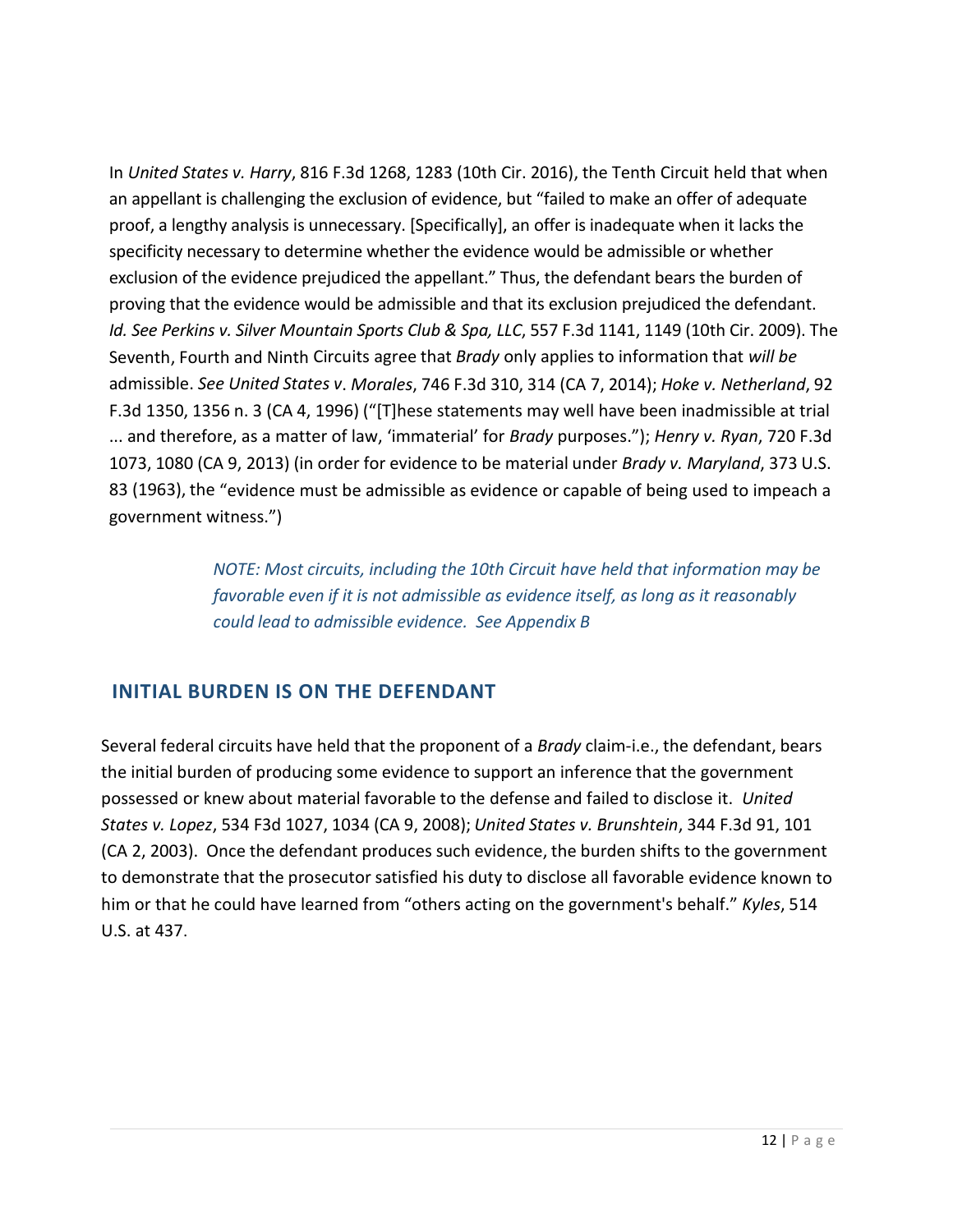In *United States v. Harry*, 816 F.3d 1268, 1283 (10th Cir. 2016), the Tenth Circuit held that when an appellant is challenging the exclusion of evidence, but "failed to make an offer of adequate proof, a lengthy analysis is unnecessary. [Specifically], an offer is inadequate when it lacks the specificity necessary to determine whether the evidence would be admissible or whether exclusion of the evidence prejudiced the appellant." Thus, the defendant bears the burden of proving that the evidence would be admissible and that its exclusion prejudiced the defendant. *Id. See Perkins v. Silver Mountain Sports Club & Spa, LLC*, 557 F.3d 1141, 1149 (10th Cir. 2009). The Seventh, Fourth and Ninth Circuits agree that *Brady* only applies to information that *will be* admissible. *See United States v*. *Morales*, 746 F.3d 310, 314 (CA 7, 2014); *Hoke v. Netherland*, 92 F.3d 1350, 1356 n. 3 (CA 4, 1996) ("[T]hese statements may well have been inadmissible at trial ... and therefore, as a matter of law, 'immaterial' for *Brady* purposes."); *Henry v. Ryan*, 720 F.3d 1073, 1080 (CA 9, 2013) (in order for evidence to be material under *Brady v. Maryland*, 373 U.S. 83 (1963), the "evidence must be admissible as evidence or capable of being used to impeach a government witness.")

> *NOTE: Most circuits, including the 10th Circuit have held that information may be favorable even if it is not admissible as evidence itself, as long as it reasonably could lead to admissible evidence. See Appendix B*

# **INITIAL BURDEN IS ON THE DEFENDANT**

Several federal circuits have held that the proponent of a *Brady* claim-i.e., the defendant, bears the initial burden of producing some evidence to support an inference that the government possessed or knew about material favorable to the defense and failed to disclose it. *United States v. Lopez*, 534 F3d 1027, 1034 (CA 9, 2008); *United States v. Brunshtein*, 344 F.3d 91, 101 (CA 2, 2003). Once the defendant produces such evidence, the burden shifts to the government to demonstrate that the prosecutor satisfied his duty to disclose all favorable evidence known to him or that he could have learned from "others acting on the government's behalf." *Kyles*, 514 U.S. at 437.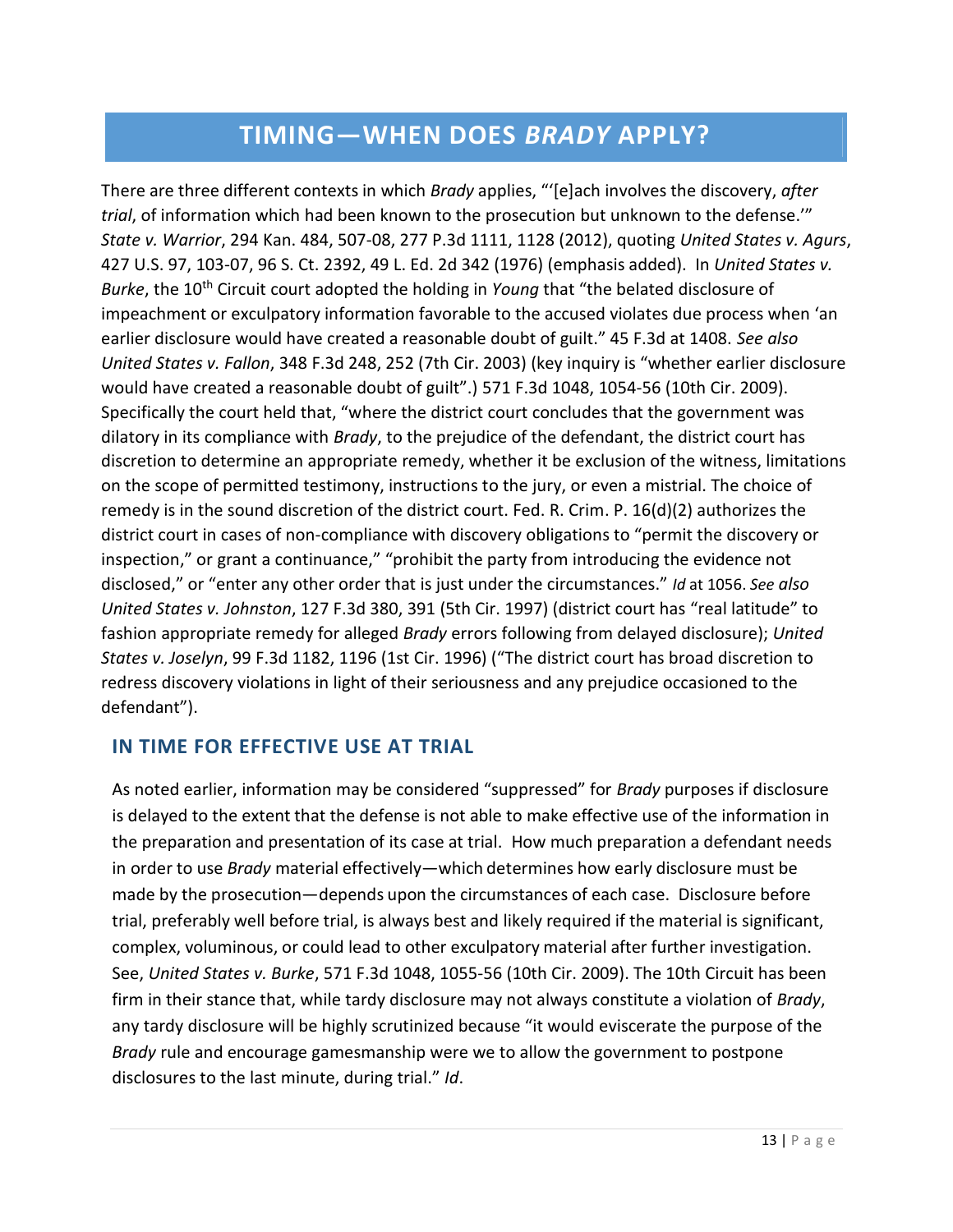# **TIMING—WHEN DOES** *BRADY* **APPLY?**

There are three different contexts in which *Brady* applies, "'[e]ach involves the discovery, *after trial*, of information which had been known to the prosecution but unknown to the defense.'" *State v. Warrior*, 294 Kan. 484, 507-08, 277 P.3d 1111, 1128 (2012), quoting *United States v. Agurs*, 427 U.S. 97, 103-07, 96 S. Ct. 2392, 49 L. Ed. 2d 342 (1976) (emphasis added). In *United States v. Burke*, the 10<sup>th</sup> Circuit court adopted the holding in *Young* that "the belated disclosure of impeachment or exculpatory information favorable to the accused violates due process when 'an earlier disclosure would have created a reasonable doubt of guilt." 45 F.3d at 1408. *See also United States v. Fallon*, 348 F.3d 248, 252 (7th Cir. 2003) (key inquiry is "whether earlier disclosure would have created a reasonable doubt of guilt".) 571 F.3d 1048, 1054-56 (10th Cir. 2009). Specifically the court held that, "where the district court concludes that the government was dilatory in its compliance with *Brady*, to the prejudice of the defendant, the district court has discretion to determine an appropriate remedy, whether it be exclusion of the witness, limitations on the scope of permitted testimony, instructions to the jury, or even a mistrial. The choice of remedy is in the sound discretion of the district court. Fed. R. Crim. P. 16(d)(2) authorizes the district court in cases of non-compliance with discovery obligations to "permit the discovery or inspection," or grant a continuance," "prohibit the party from introducing the evidence not disclosed," or "enter any other order that is just under the circumstances." *Id* at 1056. *See also United States v. Johnston*, 127 F.3d 380, 391 (5th Cir. 1997) (district court has "real latitude" to fashion appropriate remedy for alleged *Brady* errors following from delayed disclosure); *United States v. Joselyn*, 99 F.3d 1182, 1196 (1st Cir. 1996) ("The district court has broad discretion to redress discovery violations in light of their seriousness and any prejudice occasioned to the defendant").

# **IN TIME FOR EFFECTIVE USE AT TRIAL**

As noted earlier, information may be considered "suppressed" for *Brady* purposes if disclosure is delayed to the extent that the defense is not able to make effective use of the information in the preparation and presentation of its case at trial. How much preparation a defendant needs in order to use *Brady* material effectively—which determines how early disclosure must be made by the prosecution—depends upon the circumstances of each case. Disclosure before trial, preferably well before trial, is always best and likely required if the material is significant, complex, voluminous, or could lead to other exculpatory material after further investigation. See, *United States v. Burke*, 571 F.3d 1048, 1055-56 (10th Cir. 2009). The 10th Circuit has been firm in their stance that, while tardy disclosure may not always constitute a violation of *Brady*, any tardy disclosure will be highly scrutinized because "it would eviscerate the purpose of the *Brady* rule and encourage gamesmanship were we to allow the government to postpone disclosures to the last minute, during trial." *Id*.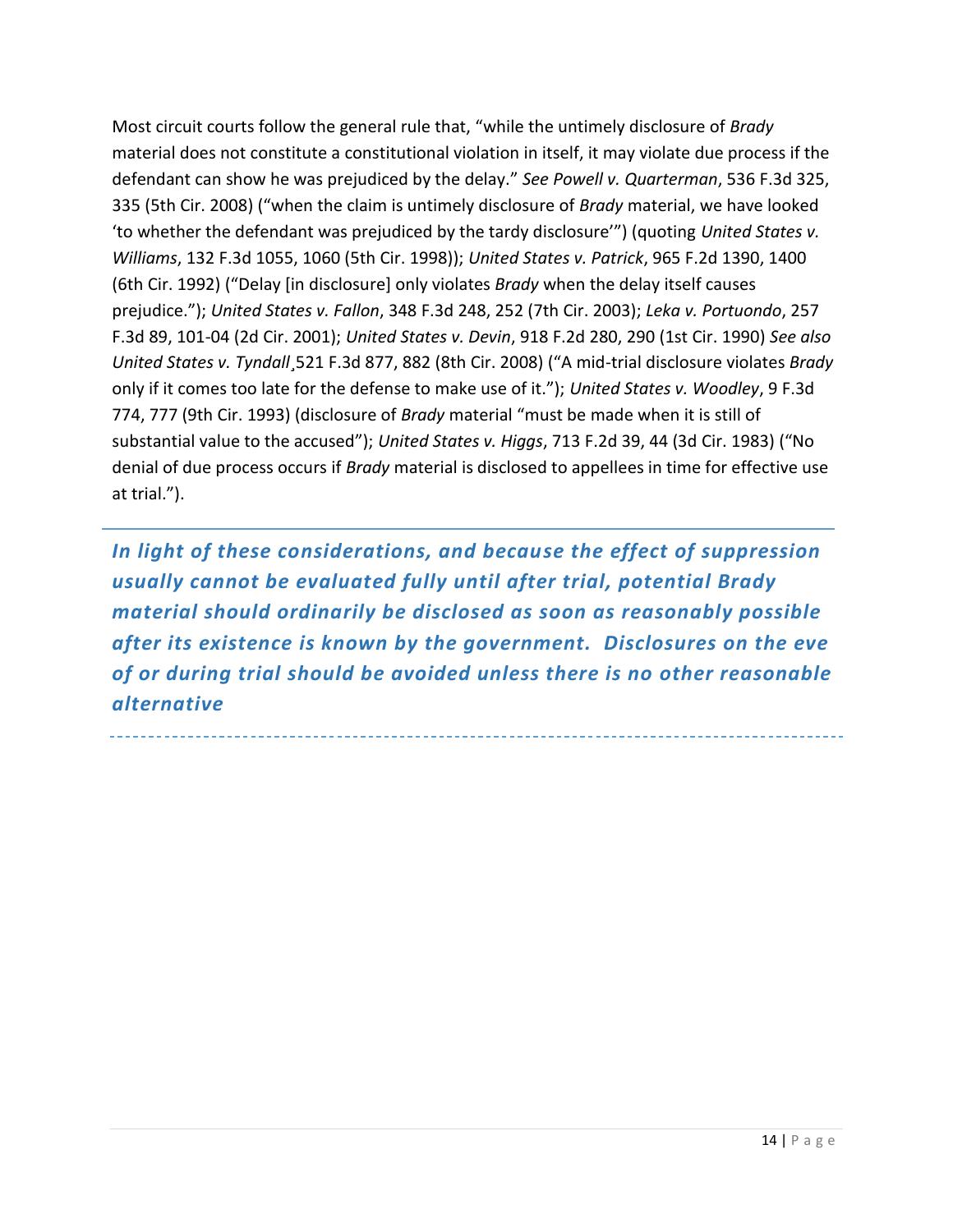Most circuit courts follow the general rule that, "while the untimely disclosure of *Brady* material does not constitute a constitutional violation in itself, it may violate due process if the defendant can show he was prejudiced by the delay." *See Powell v. Quarterman*, 536 F.3d 325, 335 (5th Cir. 2008) ("when the claim is untimely disclosure of *Brady* material, we have looked 'to whether the defendant was prejudiced by the tardy disclosure'") (quoting *United States v. Williams*, 132 F.3d 1055, 1060 (5th Cir. 1998)); *United States v. Patrick*, 965 F.2d 1390, 1400 (6th Cir. 1992) ("Delay [in disclosure] only violates *Brady* when the delay itself causes prejudice."); *United States v. Fallon*, 348 F.3d 248, 252 (7th Cir. 2003); *Leka v. Portuondo*, 257 F.3d 89, 101-04 (2d Cir. 2001); *United States v. Devin*, 918 F.2d 280, 290 (1st Cir. 1990) *See also United States v. Tyndall*¸521 F.3d 877, 882 (8th Cir. 2008) ("A mid-trial disclosure violates *Brady*  only if it comes too late for the defense to make use of it."); *United States v. Woodley*, 9 F.3d 774, 777 (9th Cir. 1993) (disclosure of *Brady* material "must be made when it is still of substantial value to the accused"); *United States v. Higgs*, 713 F.2d 39, 44 (3d Cir. 1983) ("No denial of due process occurs if *Brady* material is disclosed to appellees in time for effective use at trial.").

*In light of these considerations, and because the effect of suppression usually cannot be evaluated fully until after trial, potential Brady material should ordinarily be disclosed as soon as reasonably possible after its existence is known by the government. Disclosures on the eve of or during trial should be avoided unless there is no other reasonable alternative*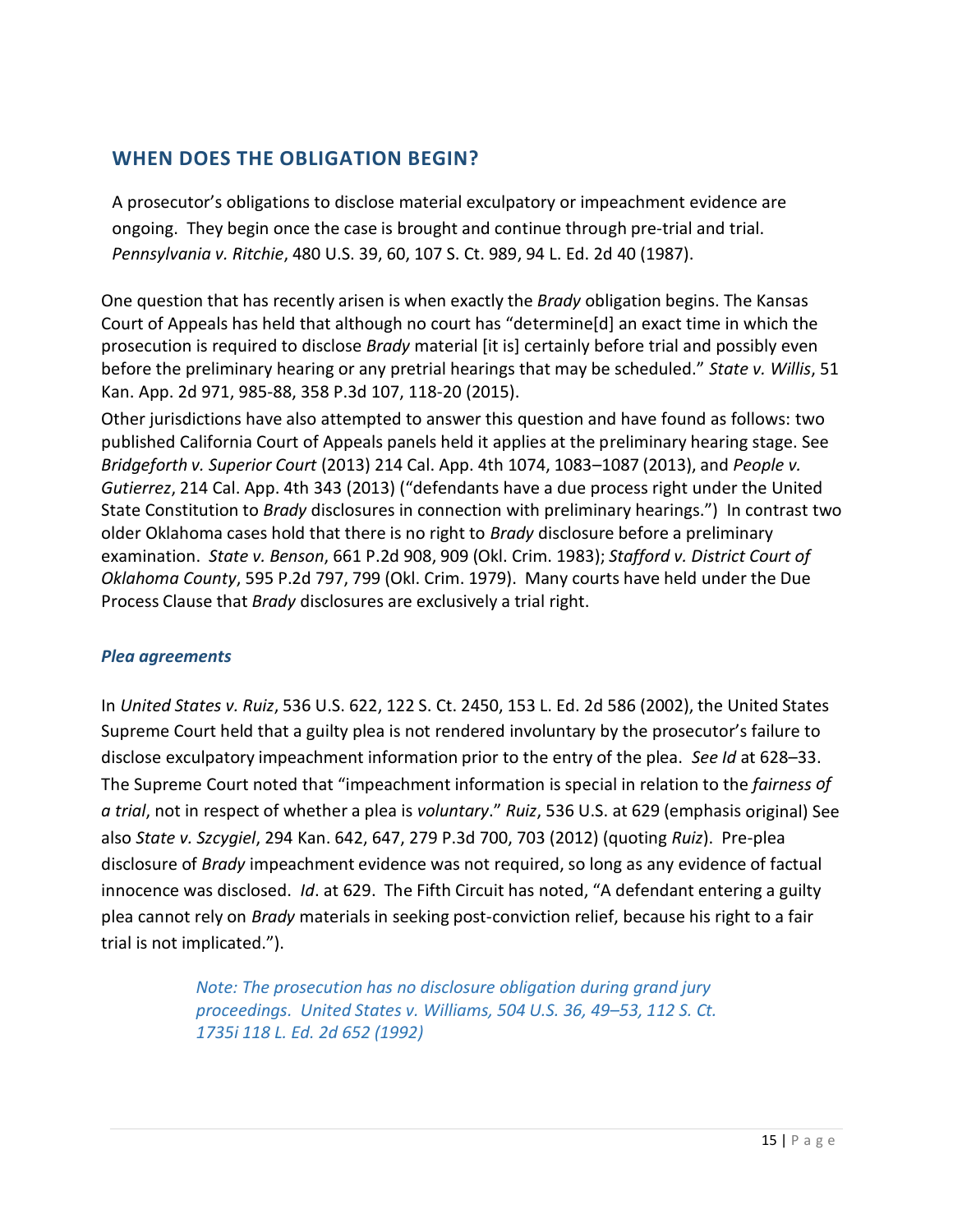# **WHEN DOES THE OBLIGATION BEGIN?**

A prosecutor's obligations to disclose material exculpatory or impeachment evidence are ongoing. They begin once the case is brought and continue through pre-trial and trial. *Pennsylvania v. Ritchie*, 480 U.S. 39, 60, 107 S. Ct. 989, 94 L. Ed. 2d 40 (1987).

One question that has recently arisen is when exactly the *Brady* obligation begins. The Kansas Court of Appeals has held that although no court has "determine[d] an exact time in which the prosecution is required to disclose *Brady* material [it is] certainly before trial and possibly even before the preliminary hearing or any pretrial hearings that may be scheduled." *State v. Willis*, 51 Kan. App. 2d 971, 985-88, 358 P.3d 107, 118-20 (2015).

Other jurisdictions have also attempted to answer this question and have found as follows: two published California Court of Appeals panels held it applies at the preliminary hearing stage. See *Bridgeforth v. Superior Court* (2013) 214 Cal. App. 4th 1074, 1083–1087 (2013), and *People v. Gutierrez*, 214 Cal. App. 4th 343 (2013) ("defendants have a due process right under the United State Constitution to *Brady* disclosures in connection with preliminary hearings.") In contrast two older Oklahoma cases hold that there is no right to *Brady* disclosure before a preliminary examination. *State v. Benson*, 661 P.2d 908, 909 (Okl. Crim. 1983); *Stafford v. District Court of Oklahoma County*, 595 P.2d 797, 799 (Okl. Crim. 1979). Many courts have held under the Due Process Clause that *Brady* disclosures are exclusively a trial right.

#### *Plea agreements*

In *United States v. Ruiz*, 536 U.S. 622, 122 S. Ct. 2450, 153 L. Ed. 2d 586 (2002), the United States Supreme Court held that a guilty plea is not rendered involuntary by the prosecutor's failure to disclose exculpatory impeachment information prior to the entry of the plea. *See Id* at 628–33. The Supreme Court noted that "impeachment information is special in relation to the *fairness of a trial*, not in respect of whether a plea is *voluntary*." *Ruiz*, 536 U.S. at 629 (emphasis original) See also *State v. Szcygiel*, 294 Kan. 642, 647, 279 P.3d 700, 703 (2012) (quoting *Ruiz*). Pre-plea disclosure of *Brady* impeachment evidence was not required, so long as any evidence of factual innocence was disclosed. *Id*. at 629. The Fifth Circuit has noted, "A defendant entering a guilty plea cannot rely on *Brady* materials in seeking post-conviction relief, because his right to a fair trial is not implicated.").

> *Note: The prosecution has no disclosure obligation during grand jury proceedings. United States v. Williams, 504 U.S. 36, 49–53, 112 S. Ct. 1735i 118 L. Ed. 2d 652 (1992)*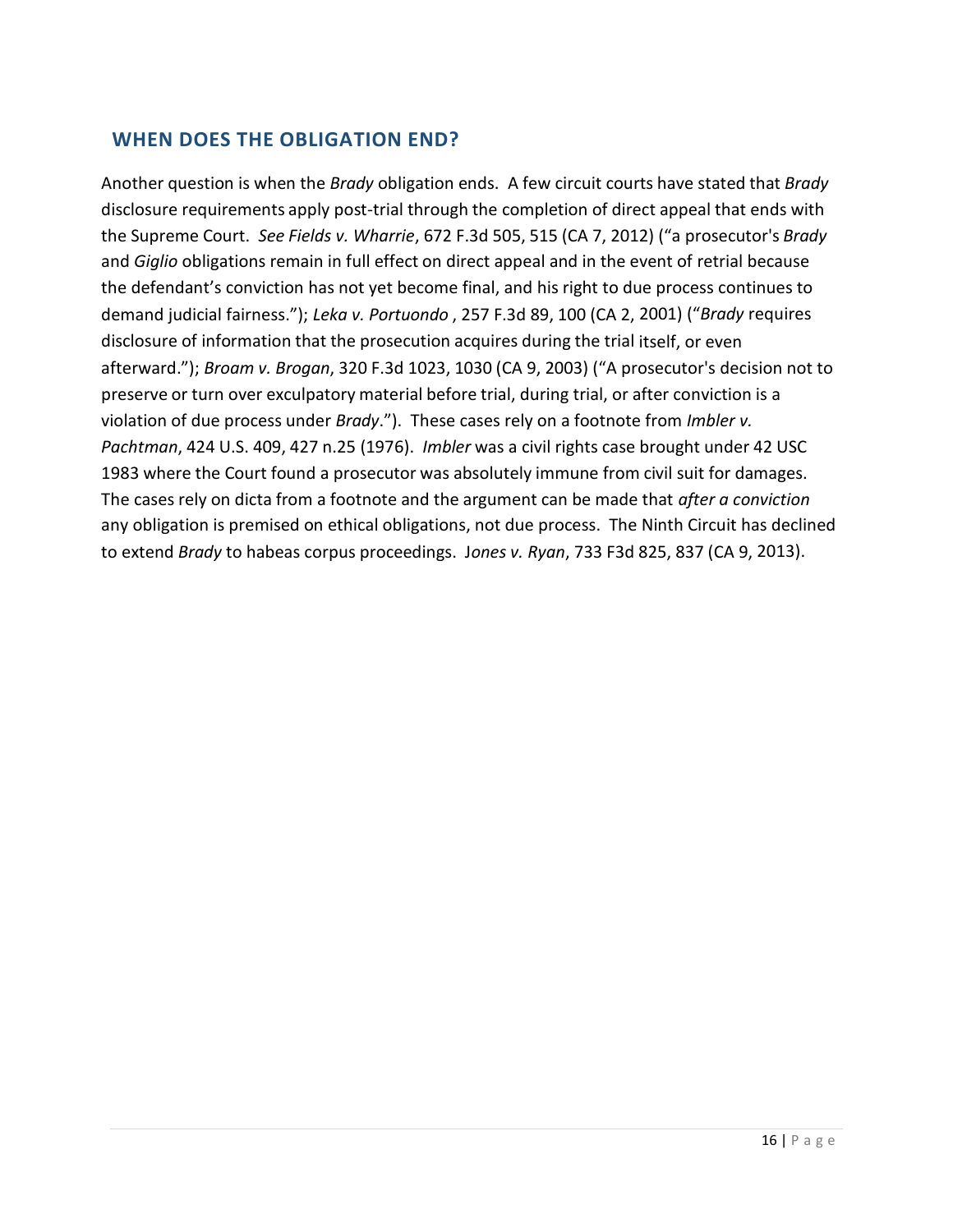# **WHEN DOES THE OBLIGATION END?**

Another question is when the *Brady* obligation ends. A few circuit courts have stated that *Brady* disclosure requirements apply post-trial through the completion of direct appeal that ends with the Supreme Court. *See Fields v. Wharrie*, 672 F.3d 505, 515 (CA 7, 2012) ("a prosecutor's *Brady* and *Giglio* obligations remain in full effect on direct appeal and in the event of retrial because the defendant's conviction has not yet become final, and his right to due process continues to demand judicial fairness."); *Leka v. Portuondo* , 257 F.3d 89, 100 (CA 2, 2001) ("*Brady* requires disclosure of information that the prosecution acquires during the trial itself, or even afterward."); *Broam v. Brogan*, 320 F.3d 1023, 1030 (CA 9, 2003) ("A prosecutor's decision not to preserve or turn over exculpatory material before trial, during trial, or after conviction is a violation of due process under *Brady*."). These cases rely on a footnote from *Imbler v. Pachtman*, 424 U.S. 409, 427 n.25 (1976). *Imbler* was a civil rights case brought under 42 USC 1983 where the Court found a prosecutor was absolutely immune from civil suit for damages. The cases rely on dicta from a footnote and the argument can be made that *after a conviction*  any obligation is premised on ethical obligations, not due process. The Ninth Circuit has declined to extend *Brady* to habeas corpus proceedings. J*ones v. Ryan*, 733 F3d 825, 837 (CA 9, 2013).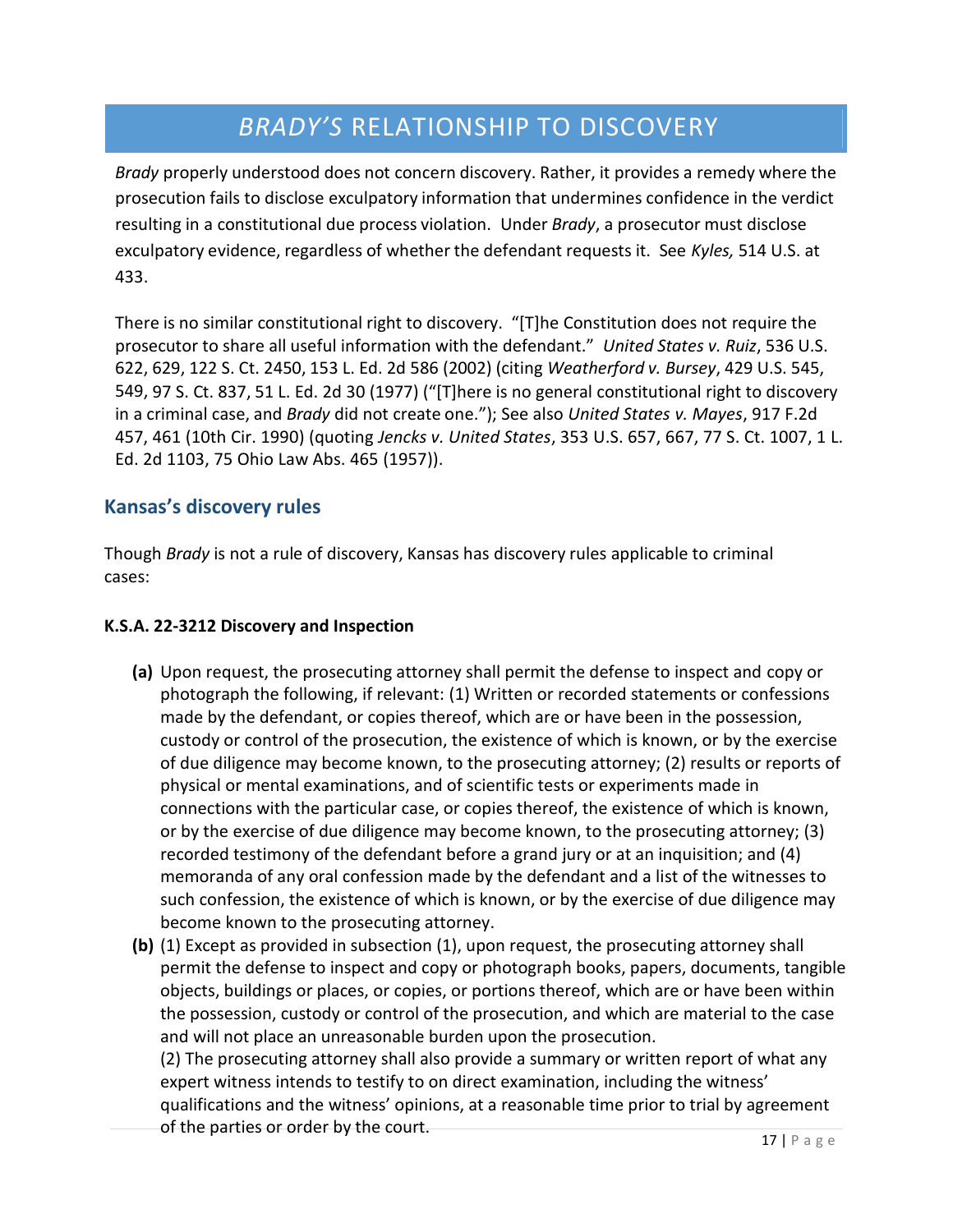# *BRADY'S* RELATIONSHIP TO DISCOVERY

*Brady* properly understood does not concern discovery. Rather, it provides a remedy where the prosecution fails to disclose exculpatory information that undermines confidence in the verdict resulting in a constitutional due process violation. Under *Brady*, a prosecutor must disclose exculpatory evidence, regardless of whether the defendant requests it. See *Kyles,* 514 U.S. at 433.

There is no similar constitutional right to discovery. "[T]he Constitution does not require the prosecutor to share all useful information with the defendant." *United States v. Ruiz*, 536 U.S. 622, 629, 122 S. Ct. 2450, 153 L. Ed. 2d 586 (2002) (citing *Weatherford v. Bursey*, 429 U.S. 545, 549, 97 S. Ct. 837, 51 L. Ed. 2d 30 (1977) ("[T]here is no general constitutional right to discovery in a criminal case, and *Brady* did not create one."); See also *United States v. Mayes*, 917 F.2d 457, 461 (10th Cir. 1990) (quoting *Jencks v. United States*, 353 U.S. 657, 667, 77 S. Ct. 1007, 1 L. Ed. 2d 1103, 75 Ohio Law Abs. 465 (1957)).

# **Kansas's discovery rules**

Though *Brady* is not a rule of discovery, Kansas has discovery rules applicable to criminal cases:

#### **K.S.A. 22-3212 Discovery and Inspection**

- **(a)** Upon request, the prosecuting attorney shall permit the defense to inspect and copy or photograph the following, if relevant: (1) Written or recorded statements or confessions made by the defendant, or copies thereof, which are or have been in the possession, custody or control of the prosecution, the existence of which is known, or by the exercise of due diligence may become known, to the prosecuting attorney; (2) results or reports of physical or mental examinations, and of scientific tests or experiments made in connections with the particular case, or copies thereof, the existence of which is known, or by the exercise of due diligence may become known, to the prosecuting attorney; (3) recorded testimony of the defendant before a grand jury or at an inquisition; and (4) memoranda of any oral confession made by the defendant and a list of the witnesses to such confession, the existence of which is known, or by the exercise of due diligence may become known to the prosecuting attorney.
- **(b)** (1) Except as provided in subsection (1), upon request, the prosecuting attorney shall permit the defense to inspect and copy or photograph books, papers, documents, tangible objects, buildings or places, or copies, or portions thereof, which are or have been within the possession, custody or control of the prosecution, and which are material to the case and will not place an unreasonable burden upon the prosecution. (2) The prosecuting attorney shall also provide a summary or written report of what any expert witness intends to testify to on direct examination, including the witness'

qualifications and the witness' opinions, at a reasonable time prior to trial by agreement of the parties or order by the court.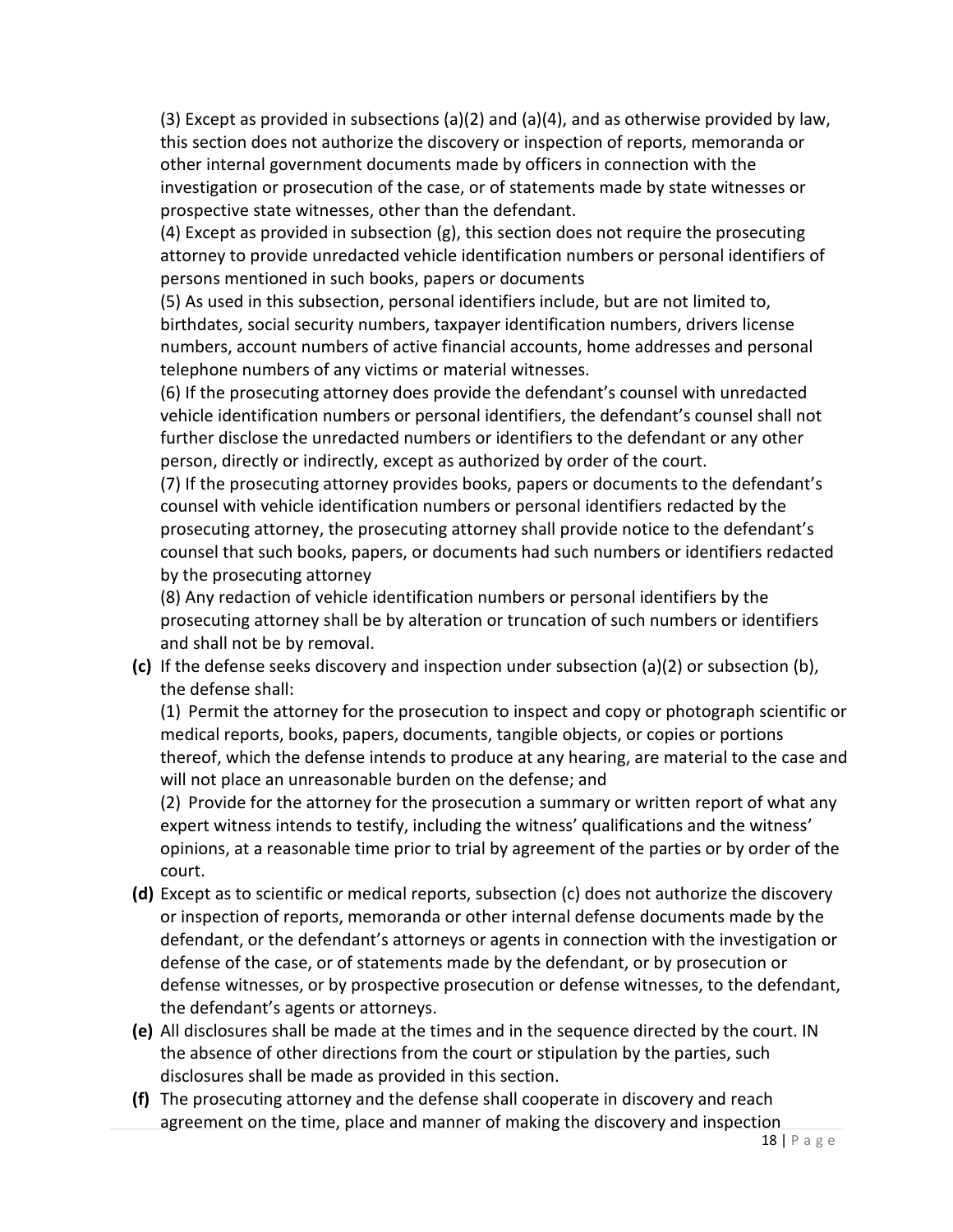(3) Except as provided in subsections (a)(2) and (a)(4), and as otherwise provided by law, this section does not authorize the discovery or inspection of reports, memoranda or other internal government documents made by officers in connection with the investigation or prosecution of the case, or of statements made by state witnesses or prospective state witnesses, other than the defendant.

(4) Except as provided in subsection  $(g)$ , this section does not require the prosecuting attorney to provide unredacted vehicle identification numbers or personal identifiers of persons mentioned in such books, papers or documents

(5) As used in this subsection, personal identifiers include, but are not limited to, birthdates, social security numbers, taxpayer identification numbers, drivers license numbers, account numbers of active financial accounts, home addresses and personal telephone numbers of any victims or material witnesses.

(6) If the prosecuting attorney does provide the defendant's counsel with unredacted vehicle identification numbers or personal identifiers, the defendant's counsel shall not further disclose the unredacted numbers or identifiers to the defendant or any other person, directly or indirectly, except as authorized by order of the court.

(7) If the prosecuting attorney provides books, papers or documents to the defendant's counsel with vehicle identification numbers or personal identifiers redacted by the prosecuting attorney, the prosecuting attorney shall provide notice to the defendant's counsel that such books, papers, or documents had such numbers or identifiers redacted by the prosecuting attorney

(8) Any redaction of vehicle identification numbers or personal identifiers by the prosecuting attorney shall be by alteration or truncation of such numbers or identifiers and shall not be by removal.

**(c)** If the defense seeks discovery and inspection under subsection (a)(2) or subsection (b), the defense shall:

(1) Permit the attorney for the prosecution to inspect and copy or photograph scientific or medical reports, books, papers, documents, tangible objects, or copies or portions thereof, which the defense intends to produce at any hearing, are material to the case and will not place an unreasonable burden on the defense; and

(2) Provide for the attorney for the prosecution a summary or written report of what any expert witness intends to testify, including the witness' qualifications and the witness' opinions, at a reasonable time prior to trial by agreement of the parties or by order of the court.

- **(d)** Except as to scientific or medical reports, subsection (c) does not authorize the discovery or inspection of reports, memoranda or other internal defense documents made by the defendant, or the defendant's attorneys or agents in connection with the investigation or defense of the case, or of statements made by the defendant, or by prosecution or defense witnesses, or by prospective prosecution or defense witnesses, to the defendant, the defendant's agents or attorneys.
- **(e)** All disclosures shall be made at the times and in the sequence directed by the court. IN the absence of other directions from the court or stipulation by the parties, such disclosures shall be made as provided in this section.
- **(f)** The prosecuting attorney and the defense shall cooperate in discovery and reach agreement on the time, place and manner of making the discovery and inspection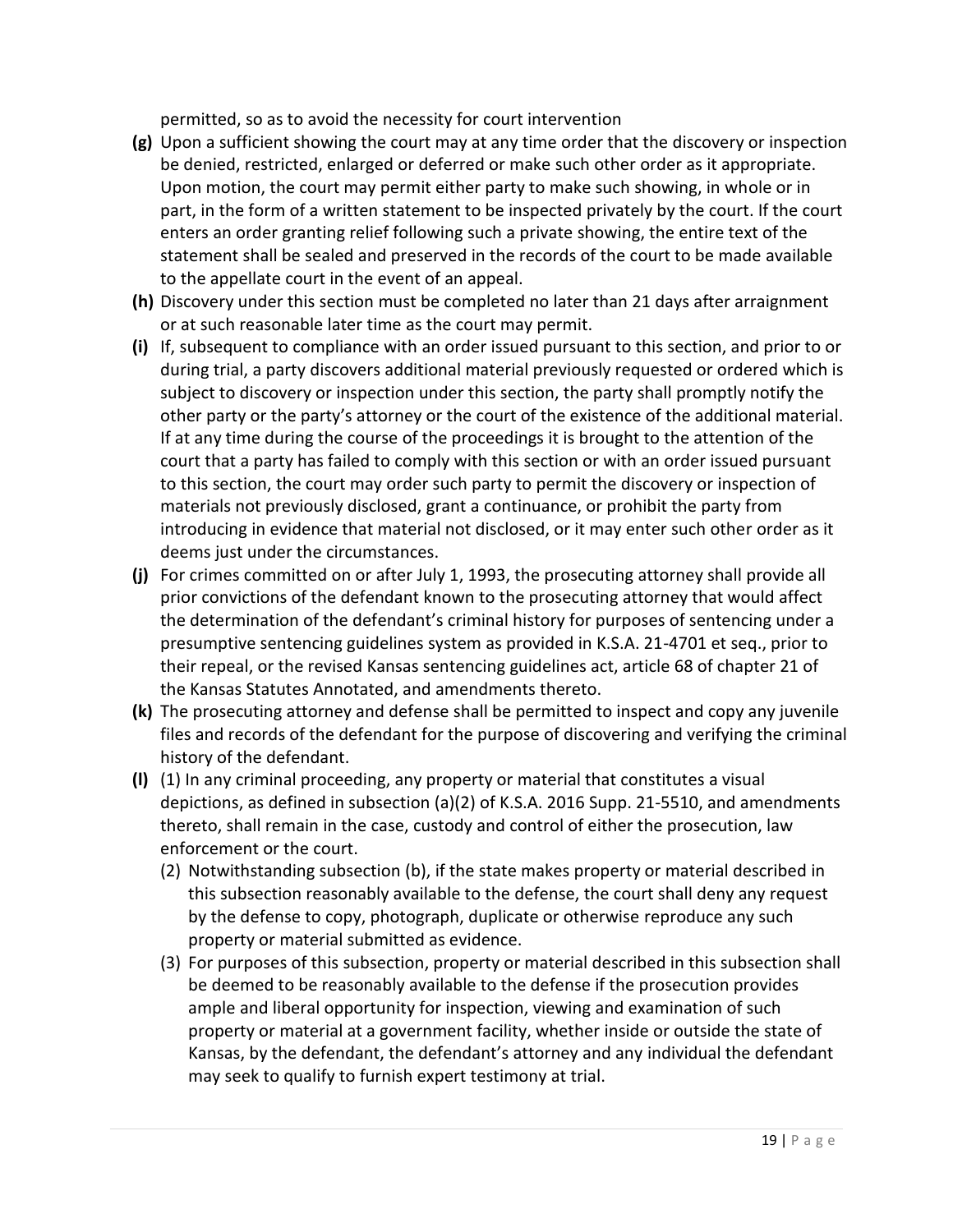permitted, so as to avoid the necessity for court intervention

- **(g)** Upon a sufficient showing the court may at any time order that the discovery or inspection be denied, restricted, enlarged or deferred or make such other order as it appropriate. Upon motion, the court may permit either party to make such showing, in whole or in part, in the form of a written statement to be inspected privately by the court. If the court enters an order granting relief following such a private showing, the entire text of the statement shall be sealed and preserved in the records of the court to be made available to the appellate court in the event of an appeal.
- **(h)** Discovery under this section must be completed no later than 21 days after arraignment or at such reasonable later time as the court may permit.
- **(i)** If, subsequent to compliance with an order issued pursuant to this section, and prior to or during trial, a party discovers additional material previously requested or ordered which is subject to discovery or inspection under this section, the party shall promptly notify the other party or the party's attorney or the court of the existence of the additional material. If at any time during the course of the proceedings it is brought to the attention of the court that a party has failed to comply with this section or with an order issued pursuant to this section, the court may order such party to permit the discovery or inspection of materials not previously disclosed, grant a continuance, or prohibit the party from introducing in evidence that material not disclosed, or it may enter such other order as it deems just under the circumstances.
- **(j)** For crimes committed on or after July 1, 1993, the prosecuting attorney shall provide all prior convictions of the defendant known to the prosecuting attorney that would affect the determination of the defendant's criminal history for purposes of sentencing under a presumptive sentencing guidelines system as provided in K.S.A. 21-4701 et seq., prior to their repeal, or the revised Kansas sentencing guidelines act, article 68 of chapter 21 of the Kansas Statutes Annotated, and amendments thereto.
- **(k)** The prosecuting attorney and defense shall be permitted to inspect and copy any juvenile files and records of the defendant for the purpose of discovering and verifying the criminal history of the defendant.
- **(l)** (1) In any criminal proceeding, any property or material that constitutes a visual depictions, as defined in subsection (a)(2) of K.S.A. 2016 Supp. 21-5510, and amendments thereto, shall remain in the case, custody and control of either the prosecution, law enforcement or the court.
	- (2) Notwithstanding subsection (b), if the state makes property or material described in this subsection reasonably available to the defense, the court shall deny any request by the defense to copy, photograph, duplicate or otherwise reproduce any such property or material submitted as evidence.
	- (3) For purposes of this subsection, property or material described in this subsection shall be deemed to be reasonably available to the defense if the prosecution provides ample and liberal opportunity for inspection, viewing and examination of such property or material at a government facility, whether inside or outside the state of Kansas, by the defendant, the defendant's attorney and any individual the defendant may seek to qualify to furnish expert testimony at trial.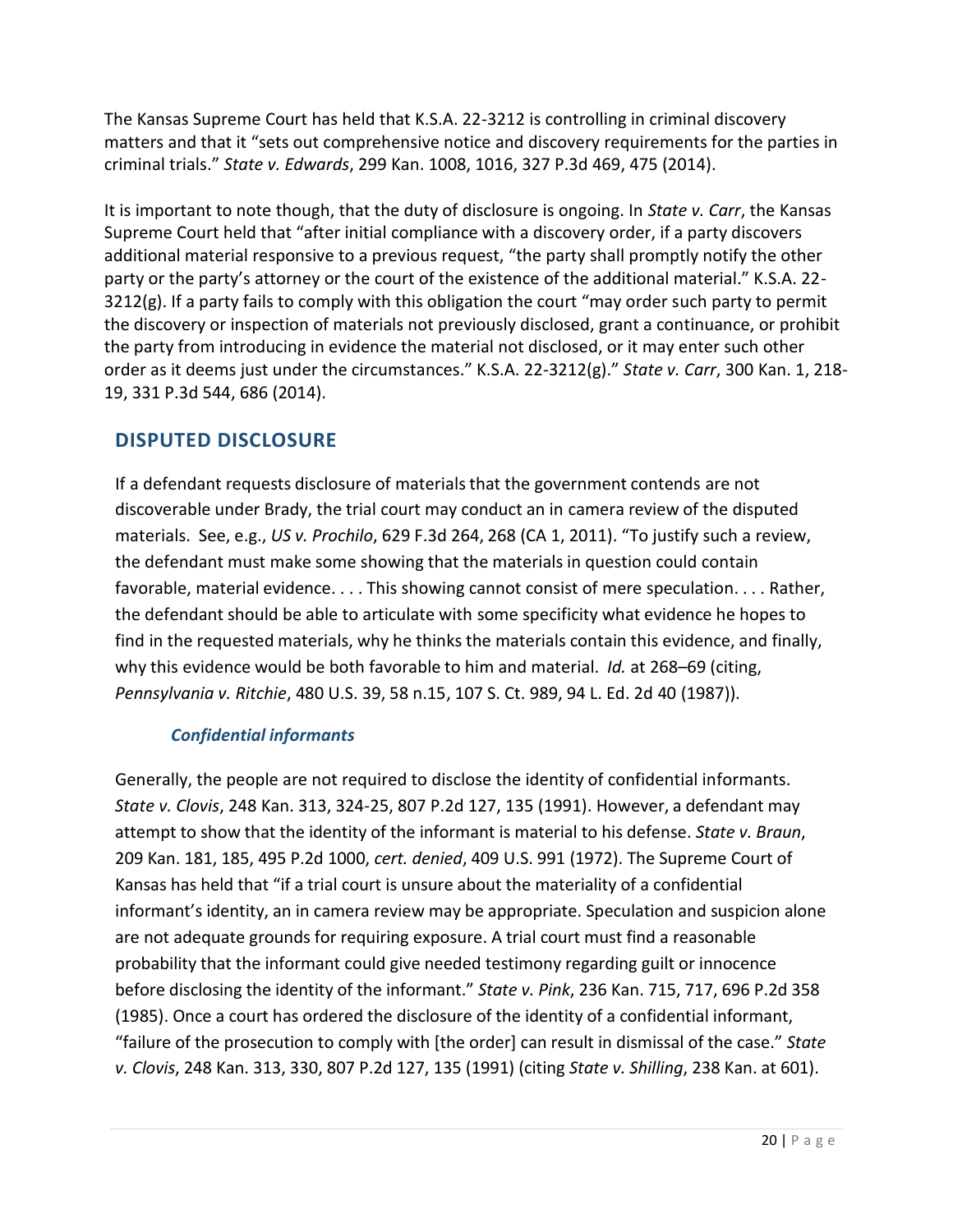The Kansas Supreme Court has held that K.S.A. 22-3212 is controlling in criminal discovery matters and that it "sets out comprehensive notice and discovery requirements for the parties in criminal trials." *State v. Edwards*, 299 Kan. 1008, 1016, 327 P.3d 469, 475 (2014).

It is important to note though, that the duty of disclosure is ongoing. In *State v. Carr*, the Kansas Supreme Court held that "after initial compliance with a discovery order, if a party discovers additional material responsive to a previous request, "the party shall promptly notify the other party or the party's attorney or the court of the existence of the additional material." K.S.A. 22- 3212(g). If a party fails to comply with this obligation the court "may order such party to permit the discovery or inspection of materials not previously disclosed, grant a continuance, or prohibit the party from introducing in evidence the material not disclosed, or it may enter such other order as it deems just under the circumstances." K.S.A. 22-3212(g)." *State v. Carr*, 300 Kan. 1, 218- 19, 331 P.3d 544, 686 (2014).

# **DISPUTED DISCLOSURE**

If a defendant requests disclosure of materials that the government contends are not discoverable under Brady, the trial court may conduct an in camera review of the disputed materials. See, e.g., *US v. Prochilo*, 629 F.3d 264, 268 (CA 1, 2011). "To justify such a review, the defendant must make some showing that the materials in question could contain favorable, material evidence. . . . This showing cannot consist of mere speculation. . . . Rather, the defendant should be able to articulate with some specificity what evidence he hopes to find in the requested materials, why he thinks the materials contain this evidence, and finally, why this evidence would be both favorable to him and material. *Id.* at 268–69 (citing, *Pennsylvania v. Ritchie*, 480 U.S. 39, 58 n.15, 107 S. Ct. 989, 94 L. Ed. 2d 40 (1987)).

# *Confidential informants*

Generally, the people are not required to disclose the identity of confidential informants. *State v. Clovis*, 248 Kan. 313, 324-25, 807 P.2d 127, 135 (1991). However, a defendant may attempt to show that the identity of the informant is material to his defense. *State v. Braun*, 209 Kan. 181, 185, 495 P.2d 1000, *cert. denied*, 409 U.S. 991 (1972). The Supreme Court of Kansas has held that "if a trial court is unsure about the materiality of a confidential informant's identity, an in camera review may be appropriate. Speculation and suspicion alone are not adequate grounds for requiring exposure. A trial court must find a reasonable probability that the informant could give needed testimony regarding guilt or innocence before disclosing the identity of the informant." *State v. Pink*, 236 Kan. 715, 717, 696 P.2d 358 (1985). Once a court has ordered the disclosure of the identity of a confidential informant, "failure of the prosecution to comply with [the order] can result in dismissal of the case." *State v. Clovis*, 248 Kan. 313, 330, 807 P.2d 127, 135 (1991) (citing *State v. Shilling*, 238 Kan. at 601).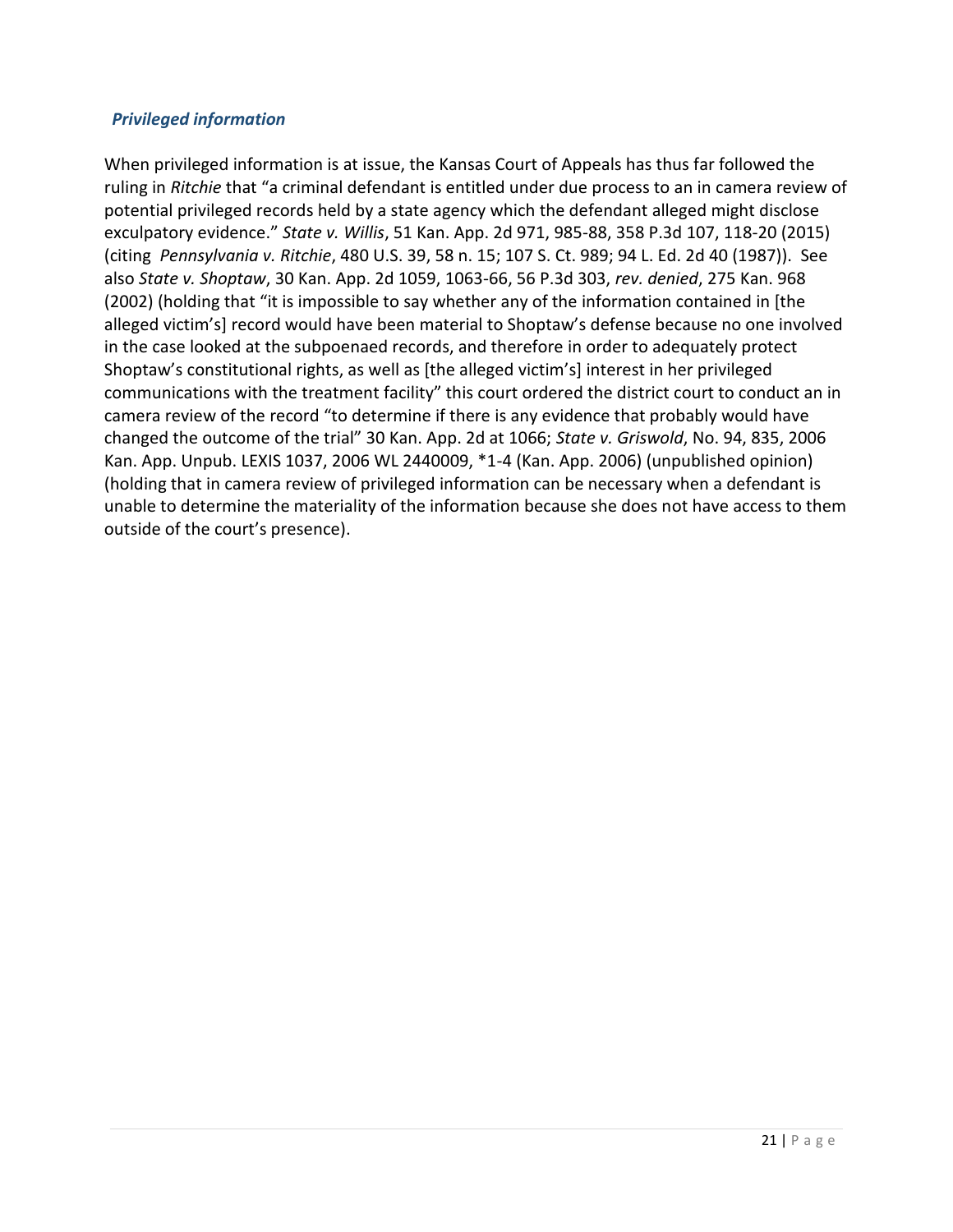#### *Privileged information*

When privileged information is at issue, the Kansas Court of Appeals has thus far followed the ruling in *Ritchie* that "a criminal defendant is entitled under due process to an in camera review of potential privileged records held by a state agency which the defendant alleged might disclose exculpatory evidence." *State v. Willis*, 51 Kan. App. 2d 971, 985-88, 358 P.3d 107, 118-20 (2015) (citing *Pennsylvania v. Ritchie*, 480 U.S. 39, 58 n. 15; 107 S. Ct. 989; 94 L. Ed. 2d 40 (1987)). See also *State v. Shoptaw*, 30 Kan. App. 2d 1059, 1063-66, 56 P.3d 303, *rev. denied*, 275 Kan. 968 (2002) (holding that "it is impossible to say whether any of the information contained in [the alleged victim's] record would have been material to Shoptaw's defense because no one involved in the case looked at the subpoenaed records, and therefore in order to adequately protect Shoptaw's constitutional rights, as well as [the alleged victim's] interest in her privileged communications with the treatment facility" this court ordered the district court to conduct an in camera review of the record "to determine if there is any evidence that probably would have changed the outcome of the trial" 30 Kan. App. 2d at 1066; *State v. Griswold*, No. 94, 835, 2006 Kan. App. Unpub. LEXIS 1037, 2006 WL 2440009, \*1-4 (Kan. App. 2006) (unpublished opinion) (holding that in camera review of privileged information can be necessary when a defendant is unable to determine the materiality of the information because she does not have access to them outside of the court's presence).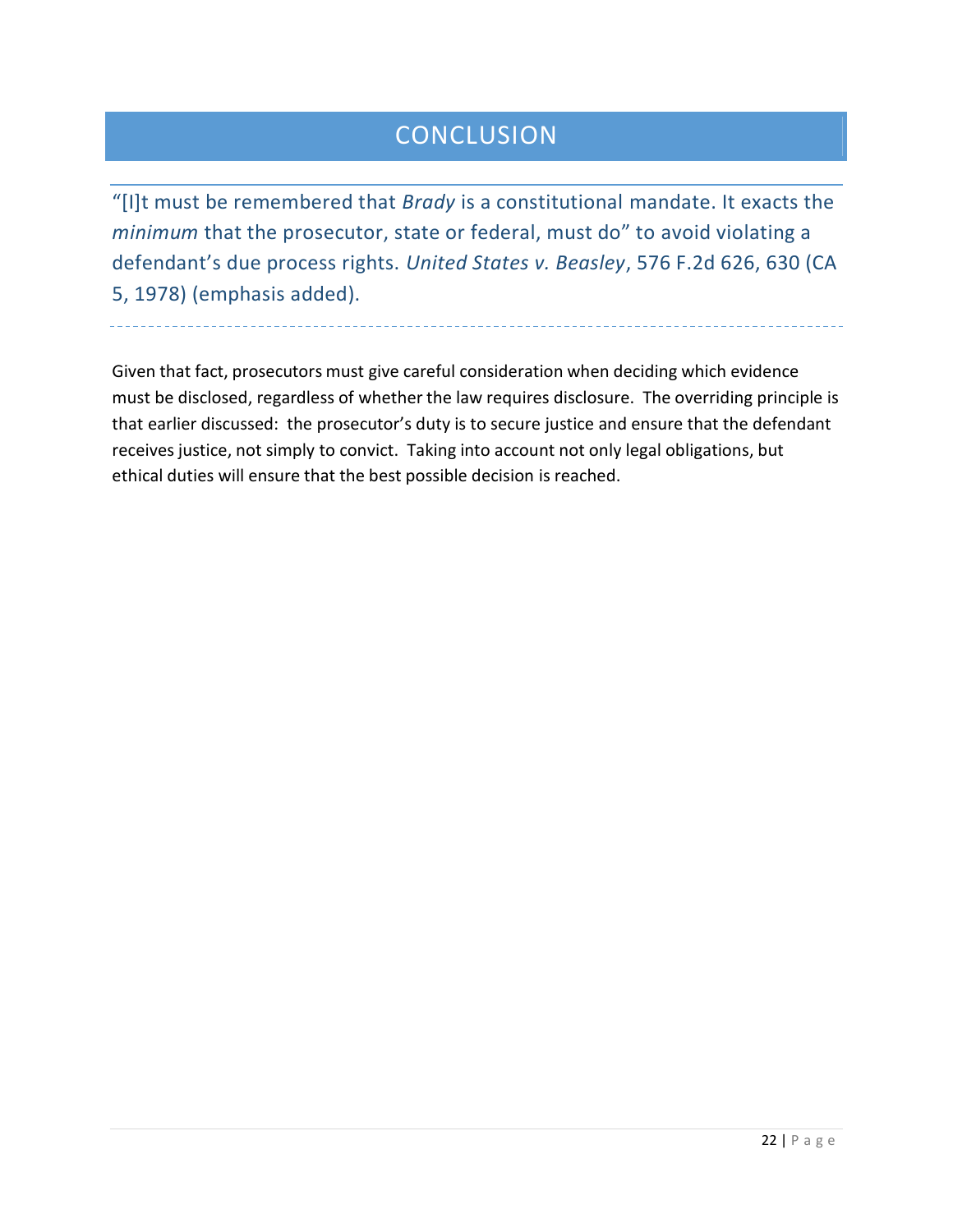# **CONCLUSION**

"[I]t must be remembered that *Brady* is a constitutional mandate. It exacts the *minimum* that the prosecutor, state or federal, must do" to avoid violating a defendant's due process rights. *United States v. Beasley*, 576 F.2d 626, 630 (CA 5, 1978) (emphasis added).

Given that fact, prosecutors must give careful consideration when deciding which evidence must be disclosed, regardless of whether the law requires disclosure. The overriding principle is that earlier discussed: the prosecutor's duty is to secure justice and ensure that the defendant receives justice, not simply to convict. Taking into account not only legal obligations, but ethical duties will ensure that the best possible decision is reached.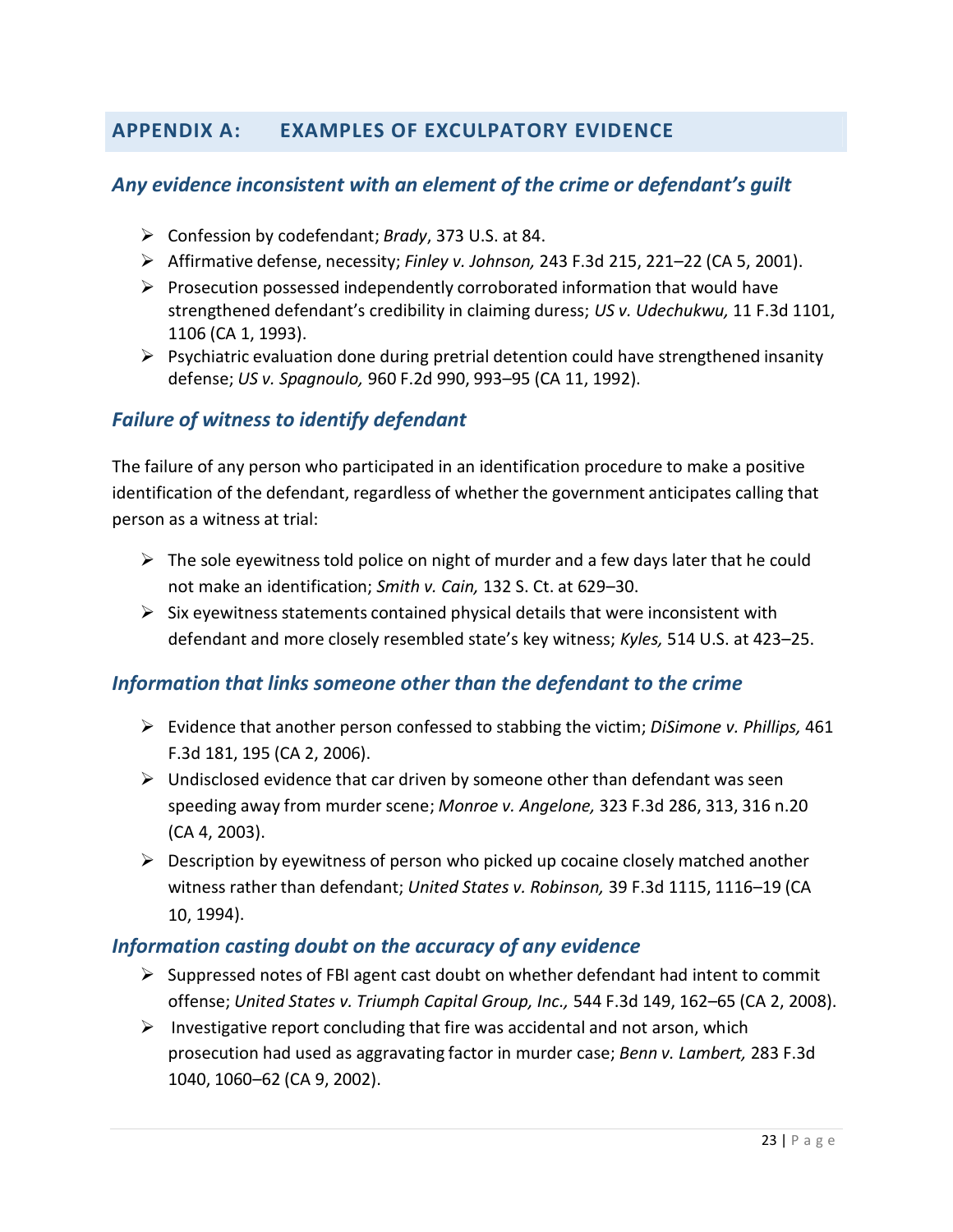# **APPENDIX A: EXAMPLES OF EXCULPATORY EVIDENCE**

## *Any evidence inconsistent with an element of the crime or defendant's guilt*

- Confession by codefendant; *Brady*, 373 U.S. at 84.
- Affirmative defense, necessity; *Finley v. Johnson,* 243 F.3d 215, 221–22 (CA 5, 2001).
- $\triangleright$  Prosecution possessed independently corroborated information that would have strengthened defendant's credibility in claiming duress; *US v. Udechukwu,* 11 F.3d 1101, 1106 (CA 1, 1993).
- $\triangleright$  Psychiatric evaluation done during pretrial detention could have strengthened insanity defense; *US v. Spagnoulo,* 960 F.2d 990, 993–95 (CA 11, 1992).

# *Failure of witness to identify defendant*

The failure of any person who participated in an identification procedure to make a positive identification of the defendant, regardless of whether the government anticipates calling that person as a witness at trial:

- $\triangleright$  The sole eyewitness told police on night of murder and a few days later that he could not make an identification; *Smith v. Cain,* 132 S. Ct. at 629–30.
- $\triangleright$  Six eyewitness statements contained physical details that were inconsistent with defendant and more closely resembled state's key witness; *Kyles,* 514 U.S. at 423–25.

# *Information that links someone other than the defendant to the crime*

- Evidence that another person confessed to stabbing the victim; *DiSimone v. Phillips,* 461 F.3d 181, 195 (CA 2, 2006).
- $\triangleright$  Undisclosed evidence that car driven by someone other than defendant was seen speeding away from murder scene; *Monroe v. Angelone,* 323 F.3d 286, 313, 316 n.20 (CA 4, 2003).
- $\triangleright$  Description by eyewitness of person who picked up cocaine closely matched another witness rather than defendant; *United States v. Robinson,* 39 F.3d 1115, 1116–19 (CA 10, 1994).

#### *Information casting doubt on the accuracy of any evidence*

- $\triangleright$  Suppressed notes of FBI agent cast doubt on whether defendant had intent to commit offense; *United States v. Triumph Capital Group, Inc.,* 544 F.3d 149, 162–65 (CA 2, 2008).
- Investigative report concluding that fire was accidental and not arson, which prosecution had used as aggravating factor in murder case; *Benn v. Lambert,* 283 F.3d 1040, 1060–62 (CA 9, 2002).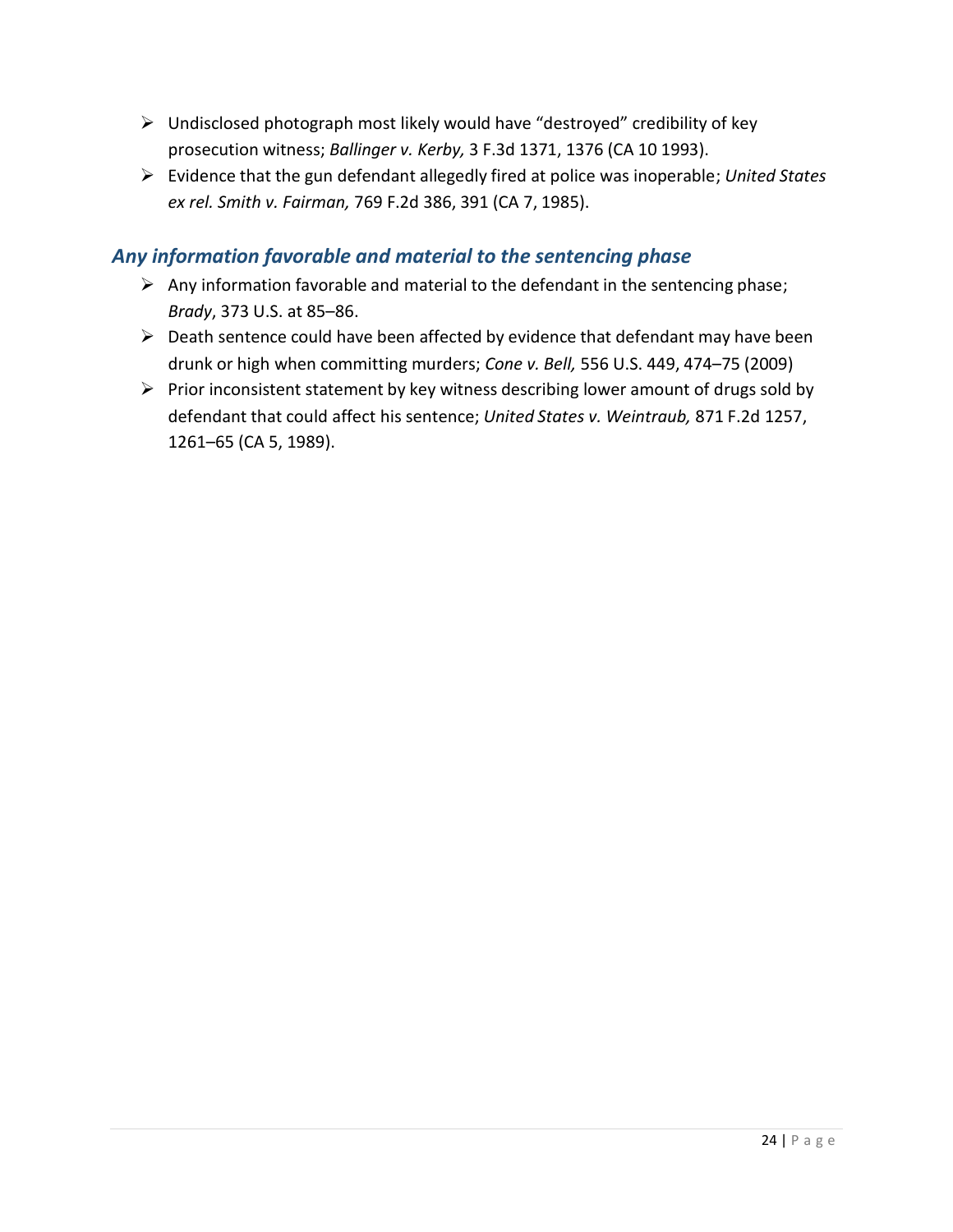- Undisclosed photograph most likely would have "destroyed" credibility of key prosecution witness; *Ballinger v. Kerby,* 3 F.3d 1371, 1376 (CA 10 1993).
- Evidence that the gun defendant allegedly fired at police was inoperable; *United States ex rel. Smith v. Fairman,* 769 F.2d 386, 391 (CA 7, 1985).

# *Any information favorable and material to the sentencing phase*

- $\triangleright$  Any information favorable and material to the defendant in the sentencing phase; *Brady*, 373 U.S. at 85–86.
- $\triangleright$  Death sentence could have been affected by evidence that defendant may have been drunk or high when committing murders; *Cone v. Bell,* 556 U.S. 449, 474–75 (2009)
- $\triangleright$  Prior inconsistent statement by key witness describing lower amount of drugs sold by defendant that could affect his sentence; *United States v. Weintraub,* 871 F.2d 1257, 1261–65 (CA 5, 1989).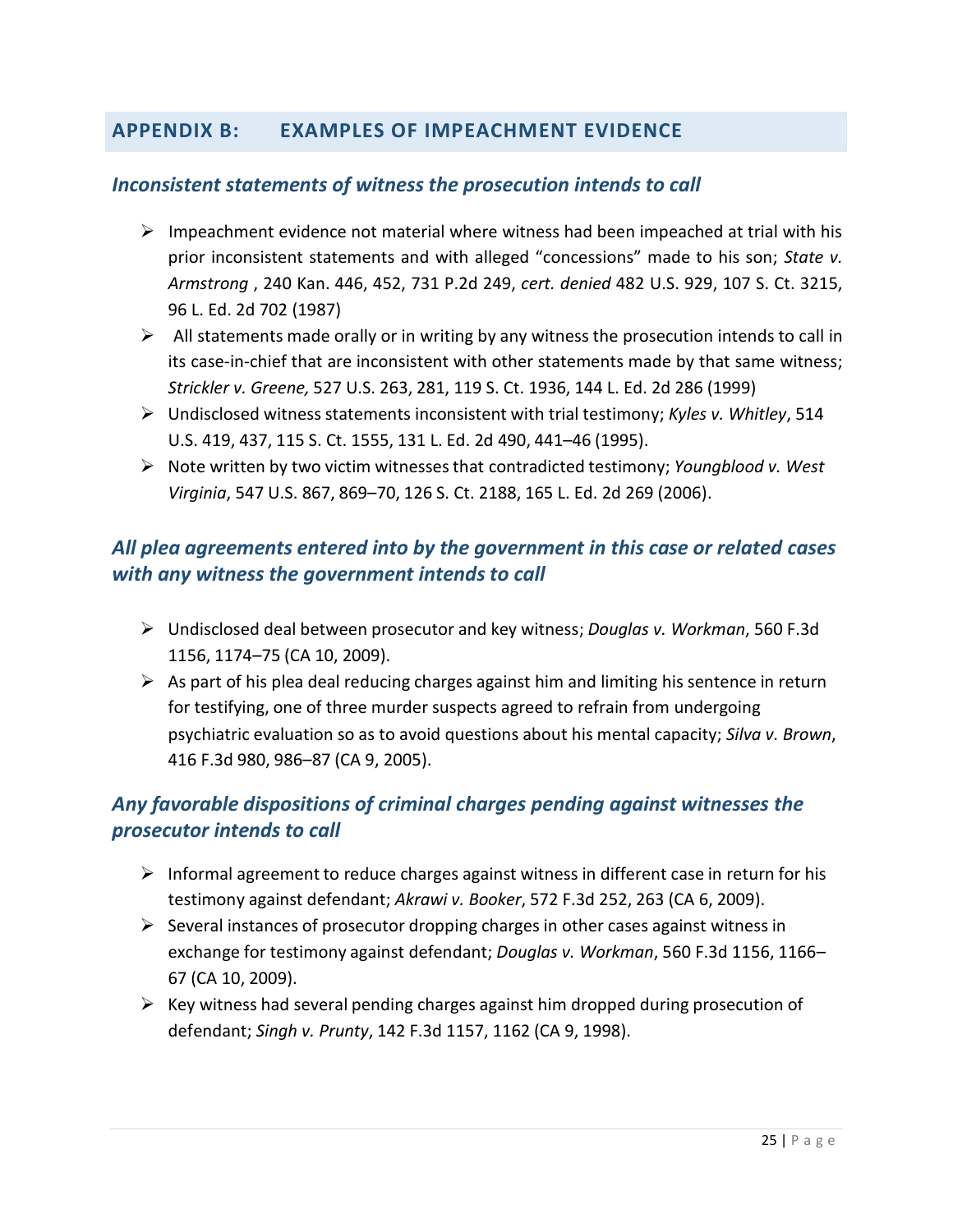# **APPENDIX B: EXAMPLES OF IMPEACHMENT EVIDENCE**

## *Inconsistent statements of witness the prosecution intends to call*

- $\triangleright$  Impeachment evidence not material where witness had been impeached at trial with his prior inconsistent statements and with alleged "concessions" made to his son; *State v. Armstrong* , 240 Kan. 446, 452, 731 P.2d 249, *cert. denied* 482 U.S. 929, 107 S. Ct. 3215, 96 L. Ed. 2d 702 (1987)
- $\triangleright$  All statements made orally or in writing by any witness the prosecution intends to call in its case-in-chief that are inconsistent with other statements made by that same witness; *Strickler v. Greene,* 527 U.S. 263, 281, 119 S. Ct. 1936, 144 L. Ed. 2d 286 (1999)
- Undisclosed witness statements inconsistent with trial testimony; *Kyles v. Whitley*, 514 U.S. 419, 437, 115 S. Ct. 1555, 131 L. Ed. 2d 490, 441–46 (1995).
- Note written by two victim witnessesthat contradicted testimony; *Youngblood v. West Virginia*, 547 U.S. 867, 869–70, 126 S. Ct. 2188, 165 L. Ed. 2d 269 (2006).

# *All plea agreements entered into by the government in this case or related cases with any witness the government intends to call*

- Undisclosed deal between prosecutor and key witness; *Douglas v. Workman*, 560 F.3d 1156, 1174–75 (CA 10, 2009).
- $\triangleright$  As part of his plea deal reducing charges against him and limiting his sentence in return for testifying, one of three murder suspects agreed to refrain from undergoing psychiatric evaluation so as to avoid questions about his mental capacity; *Silva v. Brown*, 416 F.3d 980, 986–87 (CA 9, 2005).

# *Any favorable dispositions of criminal charges pending against witnesses the prosecutor intends to call*

- $\triangleright$  Informal agreement to reduce charges against witness in different case in return for his testimony against defendant; *Akrawi v. Booker*, 572 F.3d 252, 263 (CA 6, 2009).
- $\triangleright$  Several instances of prosecutor dropping charges in other cases against witness in exchange for testimony against defendant; *Douglas v. Workman*, 560 F.3d 1156, 1166– 67 (CA 10, 2009).
- $\triangleright$  Key witness had several pending charges against him dropped during prosecution of defendant; *Singh v. Prunty*, 142 F.3d 1157, 1162 (CA 9, 1998).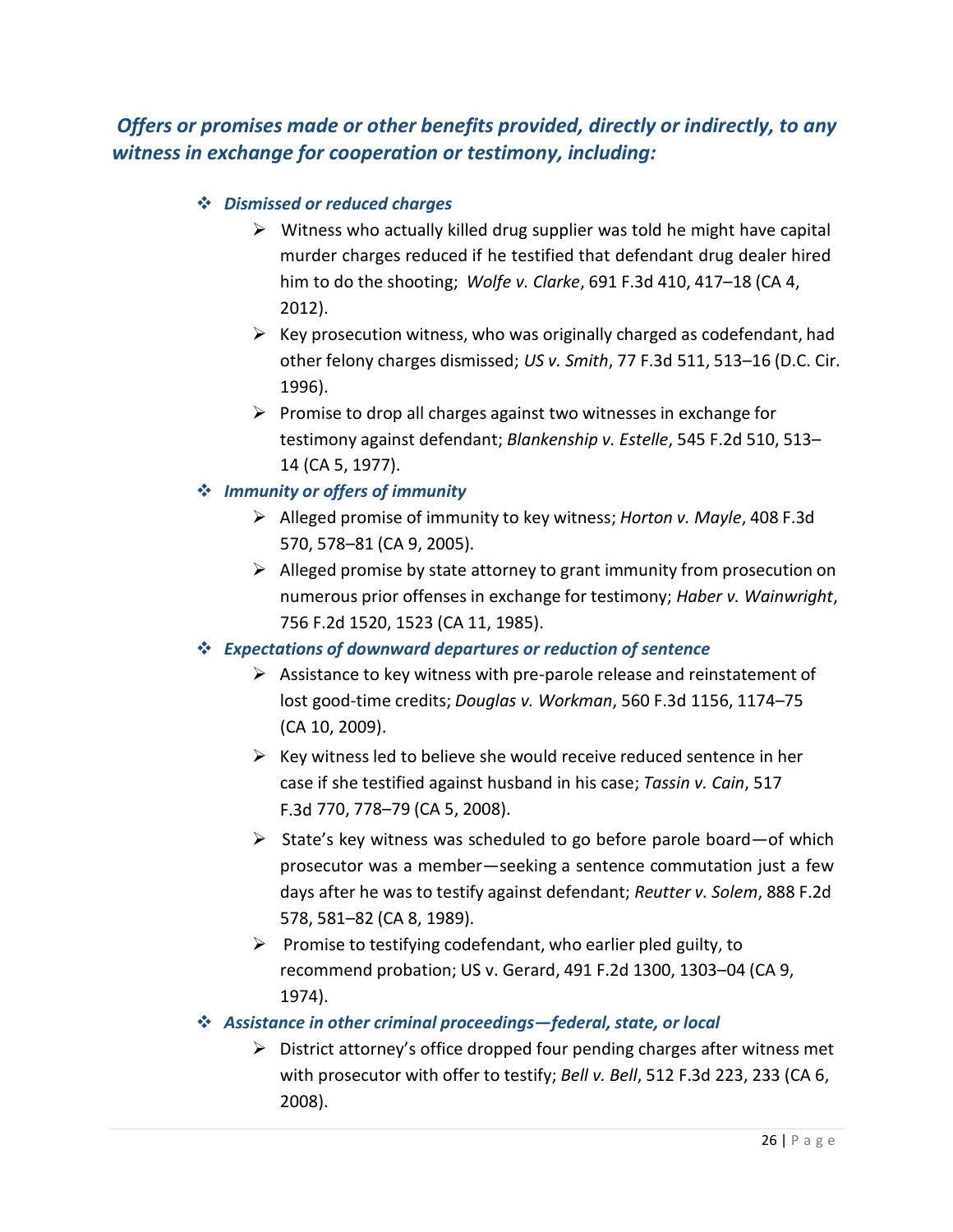*Offers or promises made or other benefits provided, directly or indirectly, to any witness in exchange for cooperation or testimony, including:*

### *Dismissed or reduced charges*

- $\triangleright$  Witness who actually killed drug supplier was told he might have capital murder charges reduced if he testified that defendant drug dealer hired him to do the shooting; *Wolfe v. Clarke*, 691 F.3d 410, 417–18 (CA 4, 2012).
- $\triangleright$  Key prosecution witness, who was originally charged as codefendant, had other felony charges dismissed; *US v. Smith*, 77 F.3d 511, 513–16 (D.C. Cir. 1996).
- $\triangleright$  Promise to drop all charges against two witnesses in exchange for testimony against defendant; *Blankenship v. Estelle*, 545 F.2d 510, 513– 14 (CA 5, 1977).

## *Immunity or offers of immunity*

- Alleged promise of immunity to key witness; *Horton v. Mayle*, 408 F.3d 570, 578–81 (CA 9, 2005).
- $\triangleright$  Alleged promise by state attorney to grant immunity from prosecution on numerous prior offenses in exchange for testimony; *Haber v. Wainwright*, 756 F.2d 1520, 1523 (CA 11, 1985).

#### *Expectations of downward departures or reduction of sentence*

- $\triangleright$  Assistance to key witness with pre-parole release and reinstatement of lost good-time credits; *Douglas v. Workman*, 560 F.3d 1156, 1174–75 (CA 10, 2009).
- $\triangleright$  Key witness led to believe she would receive reduced sentence in her case if she testified against husband in his case; *Tassin v. Cain*, 517 F.3d 770, 778–79 (CA 5, 2008).
- $\triangleright$  State's key witness was scheduled to go before parole board—of which prosecutor was a member—seeking a sentence commutation just a few days after he was to testify against defendant; *Reutter v. Solem*, 888 F.2d 578, 581–82 (CA 8, 1989).
- $\triangleright$  Promise to testifying codefendant, who earlier pled guilty, to recommend probation; US v. Gerard, 491 F.2d 1300, 1303–04 (CA 9, 1974).

#### **<sup>** $\triangle$ **</sup>** Assistance in other criminal proceedings—federal, state, or local

 $\triangleright$  District attorney's office dropped four pending charges after witness met with prosecutor with offer to testify; *Bell v. Bell*, 512 F.3d 223, 233 (CA 6, 2008).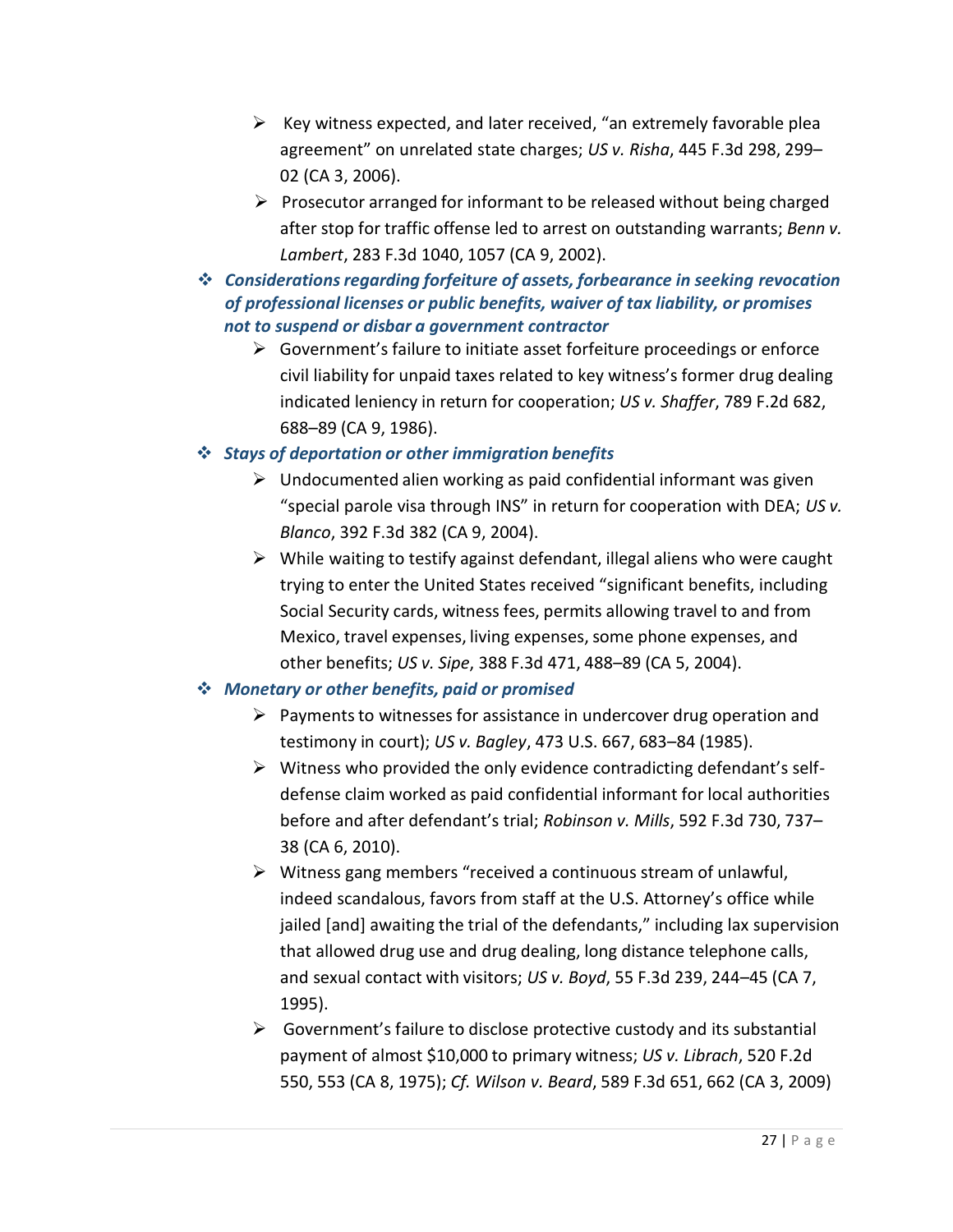- $\triangleright$  Key witness expected, and later received, "an extremely favorable plea agreement" on unrelated state charges; *US v. Risha*, 445 F.3d 298, 299– 02 (CA 3, 2006).
- $\triangleright$  Prosecutor arranged for informant to be released without being charged after stop for traffic offense led to arrest on outstanding warrants; *Benn v. Lambert*, 283 F.3d 1040, 1057 (CA 9, 2002).
- $\cdot$  Considerations regarding forfeiture of assets, forbearance in seeking revocation *of professional licenses or public benefits, waiver of tax liability, or promises not to suspend or disbar a government contractor*
	- $\triangleright$  Government's failure to initiate asset forfeiture proceedings or enforce civil liability for unpaid taxes related to key witness's former drug dealing indicated leniency in return for cooperation; *US v. Shaffer*, 789 F.2d 682, 688–89 (CA 9, 1986).

## *Stays of deportation or other immigration benefits*

- $\triangleright$  Undocumented alien working as paid confidential informant was given "special parole visa through INS" in return for cooperation with DEA; *US v. Blanco*, 392 F.3d 382 (CA 9, 2004).
- $\triangleright$  While waiting to testify against defendant, illegal aliens who were caught trying to enter the United States received "significant benefits, including Social Security cards, witness fees, permits allowing travel to and from Mexico, travel expenses, living expenses, some phone expenses, and other benefits; *US v. Sipe*, 388 F.3d 471, 488–89 (CA 5, 2004).

#### *Monetary or other benefits, paid or promised*

- $\triangleright$  Payments to witnesses for assistance in undercover drug operation and testimony in court); *US v. Bagley*, 473 U.S. 667, 683–84 (1985).
- $\triangleright$  Witness who provided the only evidence contradicting defendant's selfdefense claim worked as paid confidential informant for local authorities before and after defendant's trial; *Robinson v. Mills*, 592 F.3d 730, 737– 38 (CA 6, 2010).
- $\triangleright$  Witness gang members "received a continuous stream of unlawful, indeed scandalous, favors from staff at the U.S. Attorney's office while jailed [and] awaiting the trial of the defendants," including lax supervision that allowed drug use and drug dealing, long distance telephone calls, and sexual contact with visitors; *US v. Boyd*, 55 F.3d 239, 244–45 (CA 7, 1995).
- $\triangleright$  Government's failure to disclose protective custody and its substantial payment of almost \$10,000 to primary witness; *US v. Librach*, 520 F.2d 550, 553 (CA 8, 1975); *Cf. Wilson v. Beard*, 589 F.3d 651, 662 (CA 3, 2009)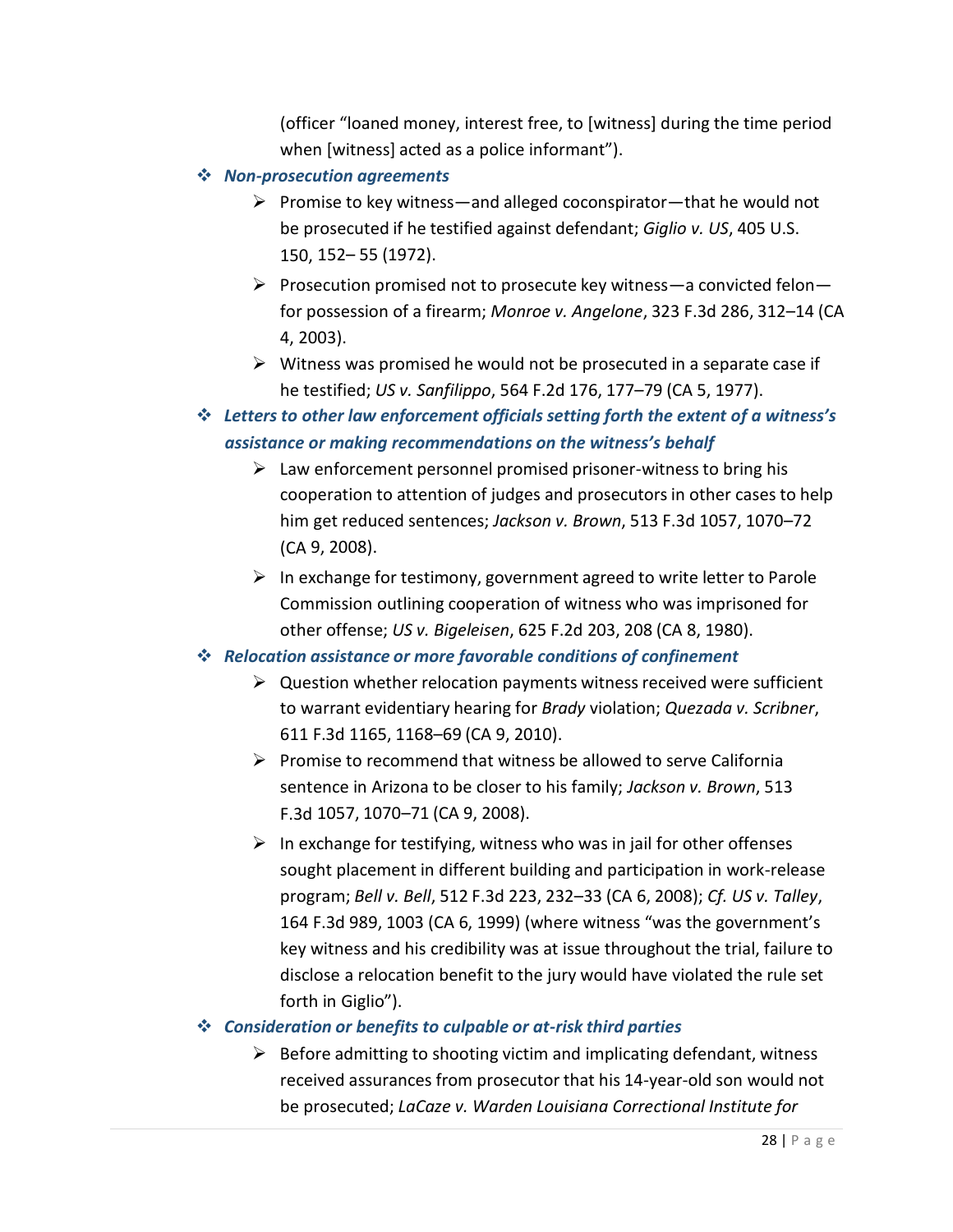(officer "loaned money, interest free, to [witness] during the time period when [witness] acted as a police informant").

- *Non-prosecution agreements*
	- $\triangleright$  Promise to key witness—and alleged coconspirator—that he would not be prosecuted if he testified against defendant; *Giglio v. US*, 405 U.S. 150, 152– 55 (1972).
	- $\triangleright$  Prosecution promised not to prosecute key witness—a convicted felon for possession of a firearm; *Monroe v. Angelone*, 323 F.3d 286, 312–14 (CA 4, 2003).
	- $\triangleright$  Witness was promised he would not be prosecuted in a separate case if he testified; *US v. Sanfilippo*, 564 F.2d 176, 177–79 (CA 5, 1977).
- *Letters to other law enforcement officials setting forth the extent of a witness's assistance or making recommendations on the witness's behalf*
	- $\triangleright$  Law enforcement personnel promised prisoner-witness to bring his cooperation to attention of judges and prosecutors in other cases to help him get reduced sentences; *Jackson v. Brown*, 513 F.3d 1057, 1070–72 (CA 9, 2008).
	- $\triangleright$  In exchange for testimony, government agreed to write letter to Parole Commission outlining cooperation of witness who was imprisoned for other offense; *US v. Bigeleisen*, 625 F.2d 203, 208 (CA 8, 1980).

#### *Relocation assistance or more favorable conditions of confinement*

- $\triangleright$  Question whether relocation payments witness received were sufficient to warrant evidentiary hearing for *Brady* violation; *Quezada v. Scribner*, 611 F.3d 1165, 1168–69 (CA 9, 2010).
- $\triangleright$  Promise to recommend that witness be allowed to serve California sentence in Arizona to be closer to his family; *Jackson v. Brown*, 513 F.3d 1057, 1070–71 (CA 9, 2008).
- $\triangleright$  In exchange for testifying, witness who was in jail for other offenses sought placement in different building and participation in work-release program; *Bell v. Bell*, 512 F.3d 223, 232–33 (CA 6, 2008); *Cf. US v. Talley*, 164 F.3d 989, 1003 (CA 6, 1999) (where witness "was the government's key witness and his credibility was at issue throughout the trial, failure to disclose a relocation benefit to the jury would have violated the rule set forth in Giglio").

#### *Consideration or benefits to culpable or at-risk third parties*

 $\triangleright$  Before admitting to shooting victim and implicating defendant, witness received assurances from prosecutor that his 14-year-old son would not be prosecuted; *LaCaze v. Warden Louisiana Correctional Institute for*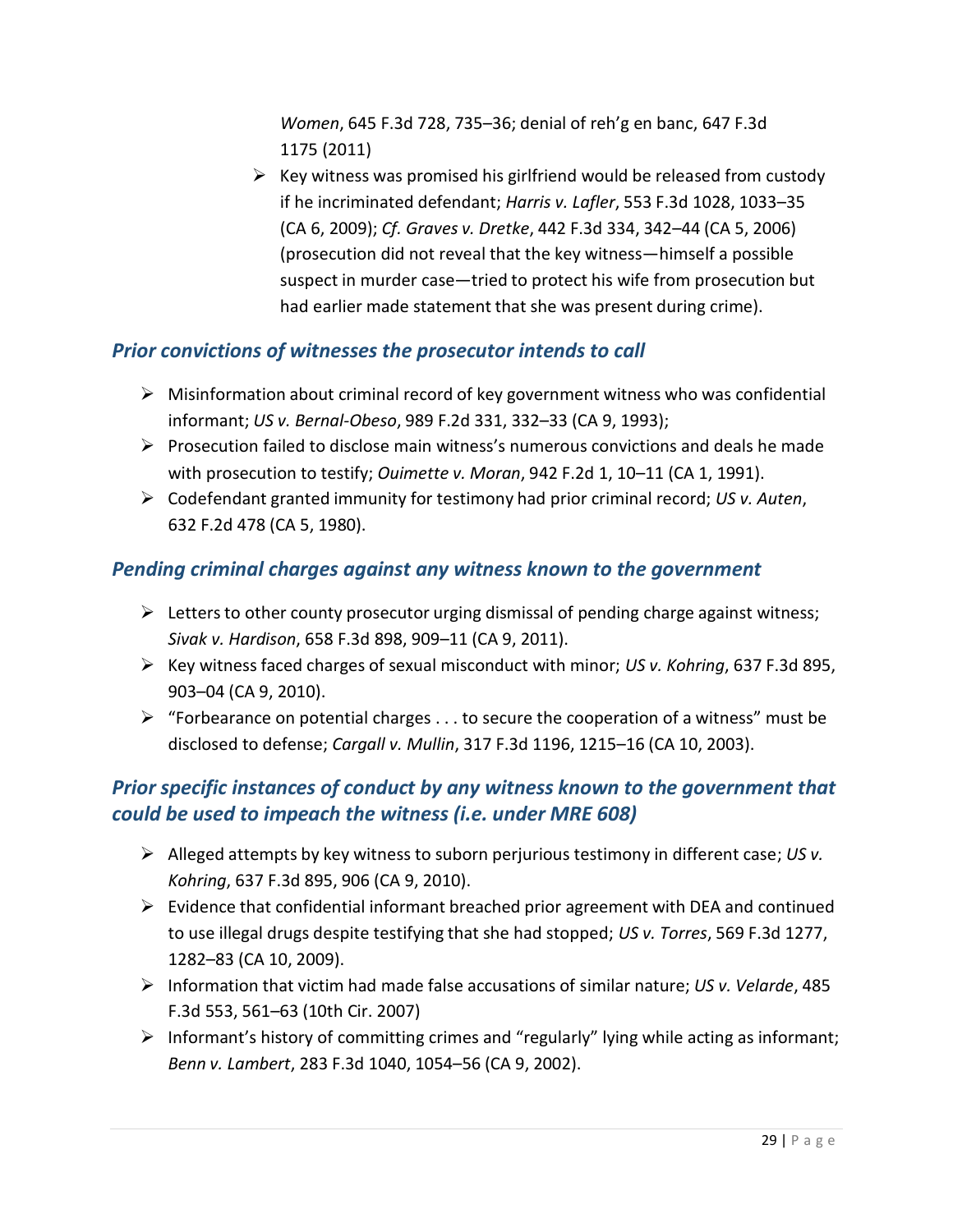*Women*, 645 F.3d 728, 735–36; denial of reh'g en banc, 647 F.3d 1175 (2011)

 $\triangleright$  Key witness was promised his girlfriend would be released from custody if he incriminated defendant; *Harris v. Lafler*, 553 F.3d 1028, 1033–35 (CA 6, 2009); *Cf. Graves v. Dretke*, 442 F.3d 334, 342–44 (CA 5, 2006) (prosecution did not reveal that the key witness—himself a possible suspect in murder case—tried to protect his wife from prosecution but had earlier made statement that she was present during crime).

# *Prior convictions of witnesses the prosecutor intends to call*

- $\triangleright$  Misinformation about criminal record of key government witness who was confidential informant; *US v. Bernal-Obeso*, 989 F.2d 331, 332–33 (CA 9, 1993);
- $\triangleright$  Prosecution failed to disclose main witness's numerous convictions and deals he made with prosecution to testify; *Ouimette v. Moran*, 942 F.2d 1, 10–11 (CA 1, 1991).
- Codefendant granted immunity for testimony had prior criminal record; *US v. Auten*, 632 F.2d 478 (CA 5, 1980).

# *Pending criminal charges against any witness known to the government*

- $\triangleright$  Letters to other county prosecutor urging dismissal of pending charge against witness; *Sivak v. Hardison*, 658 F.3d 898, 909–11 (CA 9, 2011).
- Key witness faced charges of sexual misconduct with minor; *US v. Kohring*, 637 F.3d 895, 903–04 (CA 9, 2010).
- $\triangleright$  "Forbearance on potential charges ... to secure the cooperation of a witness" must be disclosed to defense; *Cargall v. Mullin*, 317 F.3d 1196, 1215–16 (CA 10, 2003).

# *Prior specific instances of conduct by any witness known to the government that could be used to impeach the witness (i.e. under MRE 608)*

- Alleged attempts by key witness to suborn perjurious testimony in different case; *US v. Kohring*, 637 F.3d 895, 906 (CA 9, 2010).
- $\triangleright$  Evidence that confidential informant breached prior agreement with DEA and continued to use illegal drugs despite testifying that she had stopped; *US v. Torres*, 569 F.3d 1277, 1282–83 (CA 10, 2009).
- Information that victim had made false accusations of similar nature; *US v. Velarde*, 485 F.3d 553, 561–63 (10th Cir. 2007)
- $\triangleright$  Informant's history of committing crimes and "regularly" lying while acting as informant; *Benn v. Lambert*, 283 F.3d 1040, 1054–56 (CA 9, 2002).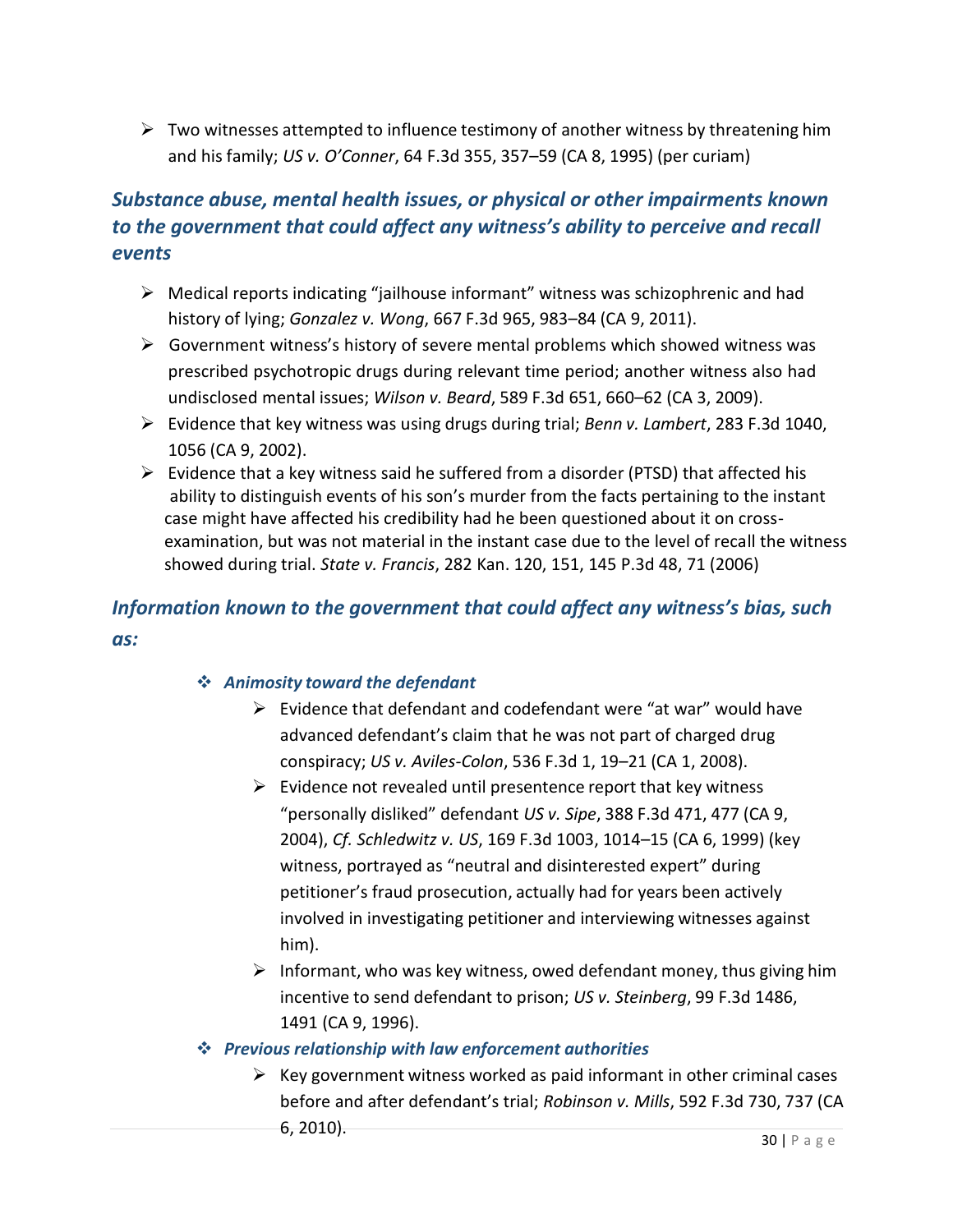$\triangleright$  Two witnesses attempted to influence testimony of another witness by threatening him and his family; *US v. O'Conner*, 64 F.3d 355, 357–59 (CA 8, 1995) (per curiam)

# *Substance abuse, mental health issues, or physical or other impairments known to the government that could affect any witness's ability to perceive and recall events*

- $\triangleright$  Medical reports indicating "jailhouse informant" witness was schizophrenic and had history of lying; *Gonzalez v. Wong*, 667 F.3d 965, 983–84 (CA 9, 2011).
- $\triangleright$  Government witness's history of severe mental problems which showed witness was prescribed psychotropic drugs during relevant time period; another witness also had undisclosed mental issues; *Wilson v. Beard*, 589 F.3d 651, 660–62 (CA 3, 2009).
- Evidence that key witness was using drugs during trial; *Benn v. Lambert*, 283 F.3d 1040, 1056 (CA 9, 2002).
- $\triangleright$  Evidence that a key witness said he suffered from a disorder (PTSD) that affected his ability to distinguish events of his son's murder from the facts pertaining to the instant case might have affected his credibility had he been questioned about it on crossexamination, but was not material in the instant case due to the level of recall the witness showed during trial. *State v. Francis*, 282 Kan. 120, 151, 145 P.3d 48, 71 (2006)

# *Information known to the government that could affect any witness's bias, such as:*

#### *Animosity toward the defendant*

- $\triangleright$  Evidence that defendant and codefendant were "at war" would have advanced defendant's claim that he was not part of charged drug conspiracy; *US v. Aviles-Colon*, 536 F.3d 1, 19–21 (CA 1, 2008).
- $\triangleright$  Evidence not revealed until presentence report that key witness "personally disliked" defendant *US v. Sipe*, 388 F.3d 471, 477 (CA 9, 2004), *Cf. Schledwitz v. US*, 169 F.3d 1003, 1014–15 (CA 6, 1999) (key witness, portrayed as "neutral and disinterested expert" during petitioner's fraud prosecution, actually had for years been actively involved in investigating petitioner and interviewing witnesses against him).
- $\triangleright$  Informant, who was key witness, owed defendant money, thus giving him incentive to send defendant to prison; *US v. Steinberg*, 99 F.3d 1486, 1491 (CA 9, 1996).

#### *Previous relationship with law enforcement authorities*

 $\triangleright$  Key government witness worked as paid informant in other criminal cases before and after defendant's trial; *Robinson v. Mills*, 592 F.3d 730, 737 (CA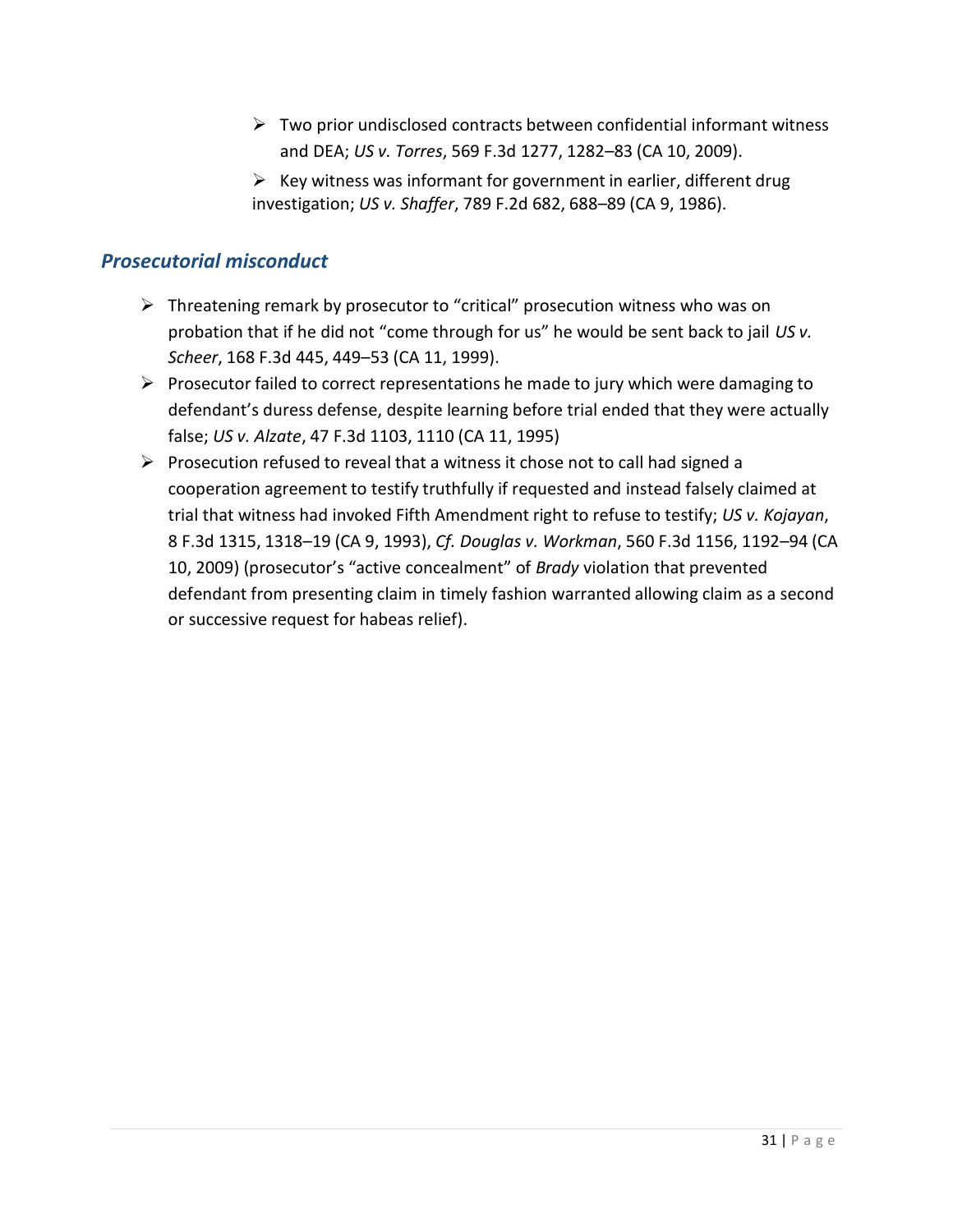- $\triangleright$  Two prior undisclosed contracts between confidential informant witness and DEA; *US v. Torres*, 569 F.3d 1277, 1282–83 (CA 10, 2009).
- $\triangleright$  Key witness was informant for government in earlier, different drug investigation; *US v. Shaffer*, 789 F.2d 682, 688–89 (CA 9, 1986).

## *Prosecutorial misconduct*

- $\triangleright$  Threatening remark by prosecutor to "critical" prosecution witness who was on probation that if he did not "come through for us" he would be sent back to jail *US v. Scheer*, 168 F.3d 445, 449–53 (CA 11, 1999).
- $\triangleright$  Prosecutor failed to correct representations he made to jury which were damaging to defendant's duress defense, despite learning before trial ended that they were actually false; *US v. Alzate*, 47 F.3d 1103, 1110 (CA 11, 1995)
- Prosecution refused to reveal that a witness it chose not to call had signed a cooperation agreement to testify truthfully if requested and instead falsely claimed at trial that witness had invoked Fifth Amendment right to refuse to testify; *US v. Kojayan*, 8 F.3d 1315, 1318–19 (CA 9, 1993), *Cf. Douglas v. Workman*, 560 F.3d 1156, 1192–94 (CA 10, 2009) (prosecutor's "active concealment" of *Brady* violation that prevented defendant from presenting claim in timely fashion warranted allowing claim as a second or successive request for habeas relief).